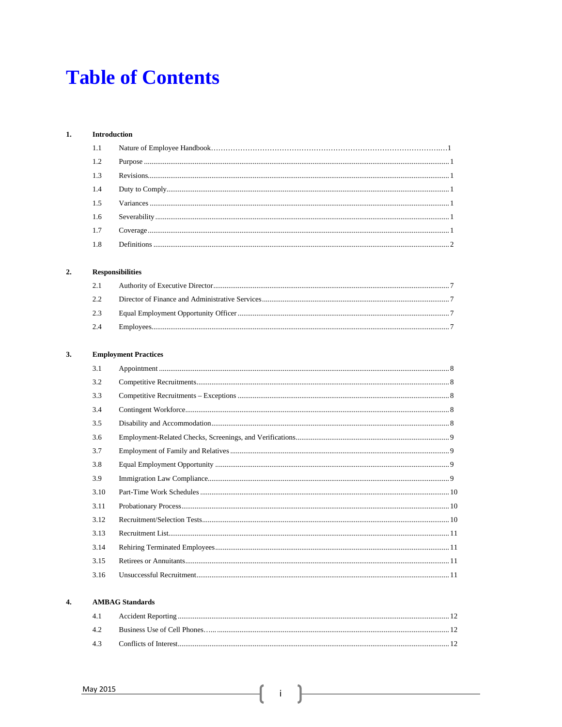## **Table of Contents**

#### $1.$  $\label{eq:1} \textbf{Introduction}$

| 1.2 |  |
|-----|--|
| 1.3 |  |
| 1.4 |  |
| 1.5 |  |
| 1.6 |  |
| 1.7 |  |
| 1.8 |  |

### $2.$  ${\bf Responsibility}$

#### $3.$ **Employment Practices**

| 3.1  |  |
|------|--|
| 3.2  |  |
| 3.3  |  |
| 3.4  |  |
| 3.5  |  |
| 3.6  |  |
| 3.7  |  |
| 3.8  |  |
| 3.9  |  |
| 3.10 |  |
| 3.11 |  |
| 3.12 |  |
| 3.13 |  |
| 3.14 |  |
| 3.15 |  |
| 3.16 |  |

### **AMBAG** Standards  $\boldsymbol{4}$ .

| 42 |  |
|----|--|
|    |  |

 $\{ \begin{array}{c} \begin{array}{c} \end{array} \end{array}$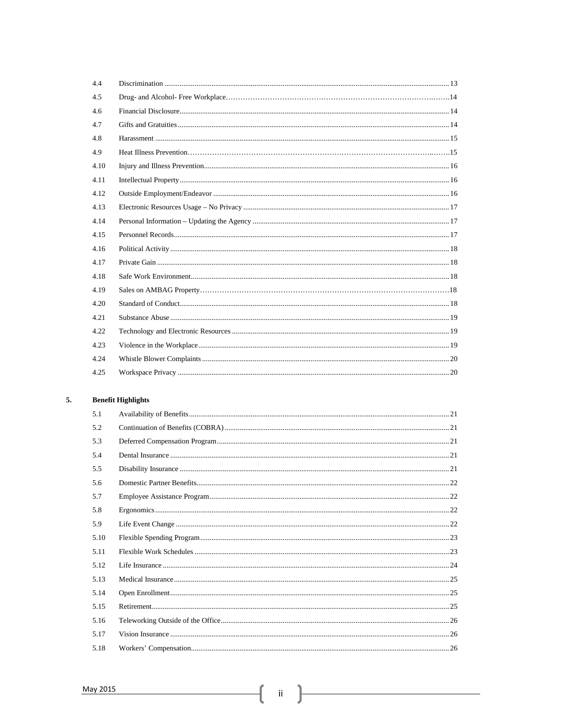| 4.4  |  |
|------|--|
| 4.5  |  |
| 4.6  |  |
| 4.7  |  |
| 4.8  |  |
| 4.9  |  |
| 4.10 |  |
| 4.11 |  |
| 4.12 |  |
| 4.13 |  |
| 4.14 |  |
| 4.15 |  |
| 4.16 |  |
| 4.17 |  |
| 4.18 |  |
| 4.19 |  |
| 4.20 |  |
| 4.21 |  |
| 4.22 |  |
| 4.23 |  |
| 4.24 |  |
| 4.25 |  |

#### 5. **Benefit Highlights**

| 5.1  |  |
|------|--|
| 5.2  |  |
| 5.3  |  |
| 5.4  |  |
| 5.5  |  |
| 5.6  |  |
| 5.7  |  |
| 5.8  |  |
| 5.9  |  |
| 5.10 |  |
| 5.11 |  |
| 5.12 |  |
| 5.13 |  |
| 5.14 |  |
| 5.15 |  |
| 5.16 |  |
| 5.17 |  |
| 5.18 |  |

ſ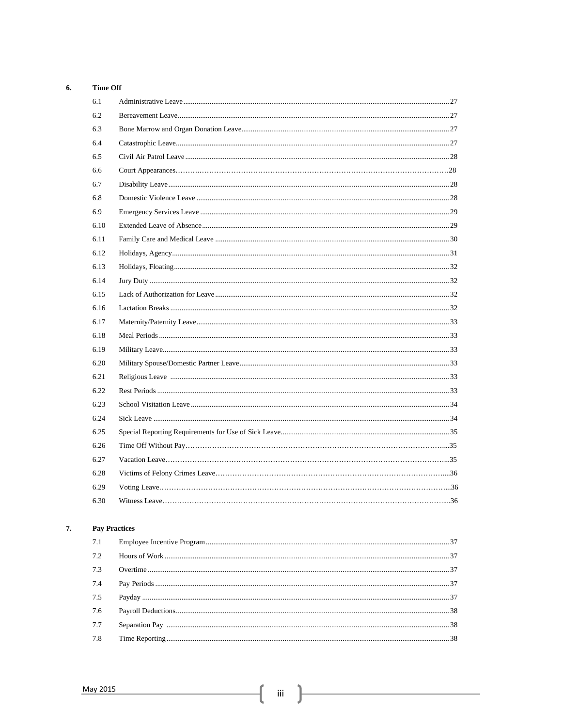### 6. **Time Off**

| 6.1  |  |
|------|--|
| 6.2  |  |
| 6.3  |  |
| 6.4  |  |
| 6.5  |  |
| 6.6  |  |
| 6.7  |  |
| 6.8  |  |
| 6.9  |  |
| 6.10 |  |
| 6.11 |  |
| 6.12 |  |
| 6.13 |  |
| 6.14 |  |
| 6.15 |  |
| 6.16 |  |
| 6.17 |  |
| 6.18 |  |
| 6.19 |  |
| 6.20 |  |
| 6.21 |  |
| 6.22 |  |
| 6.23 |  |
| 6.24 |  |
| 6.25 |  |
| 6.26 |  |
| 6.27 |  |
| 6.28 |  |
| 6.29 |  |
| 6.30 |  |
|      |  |

#### 7. **Pay Practices**

| 7.2 |  |
|-----|--|
| 7.3 |  |
| 7.4 |  |
| 7.5 |  |
| 7.6 |  |
| 7.7 |  |
| 7.8 |  |

ſ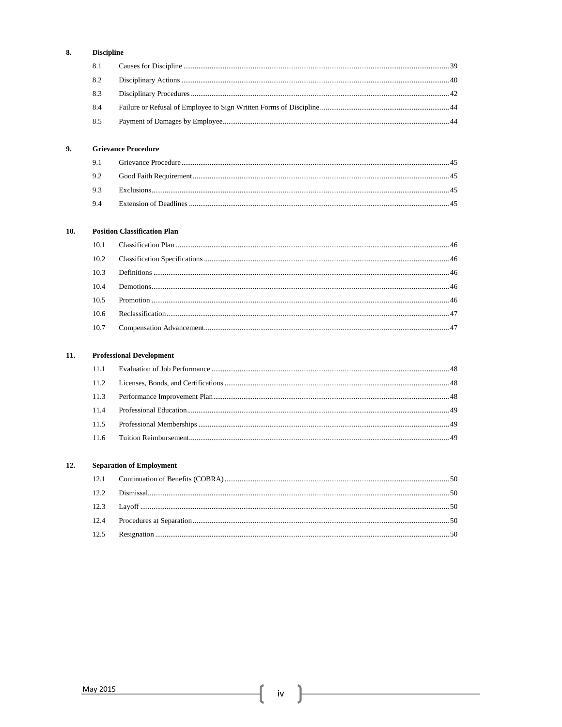#### 8. **Discipline**

#### 9. **Grievance Procedure**

#### $10.$ **Position Classification Plan**

#### $11.$ **Professional Development**

### $12.$ **Separation of Employment**

 $\mathbf{f}$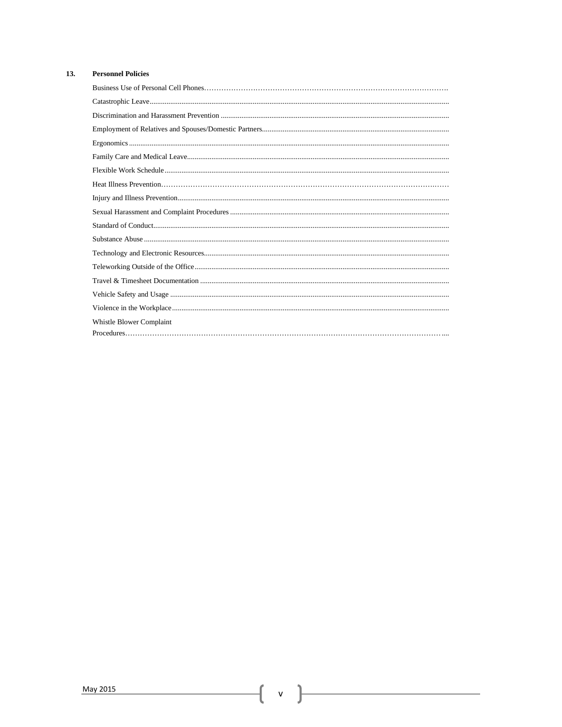#### $13.$ **Personnel Policies**

| Whistle Blower Complaint                                                                                                                                                                                                                                                                                                                                                                           |
|----------------------------------------------------------------------------------------------------------------------------------------------------------------------------------------------------------------------------------------------------------------------------------------------------------------------------------------------------------------------------------------------------|
| $\textbf{Procedures.} \label{def:1} \textbf{Procedures.} \textbf{} \textbf{} \textbf{} \textbf{} \textbf{} \textbf{} \textbf{} \textbf{} \textbf{} \textbf{} \textbf{} \textbf{} \textbf{} \textbf{} \textbf{} \textbf{} \textbf{} \textbf{} \textbf{} \textbf{} \textbf{} \textbf{} \textbf{} \textbf{} \textbf{} \textbf{} \textbf{} \textbf{} \textbf{} \textbf{} \textbf{} \textbf{} \textbf{$ |

 $\begin{pmatrix} 0 & 1 \\ 0 & 1 \end{pmatrix}$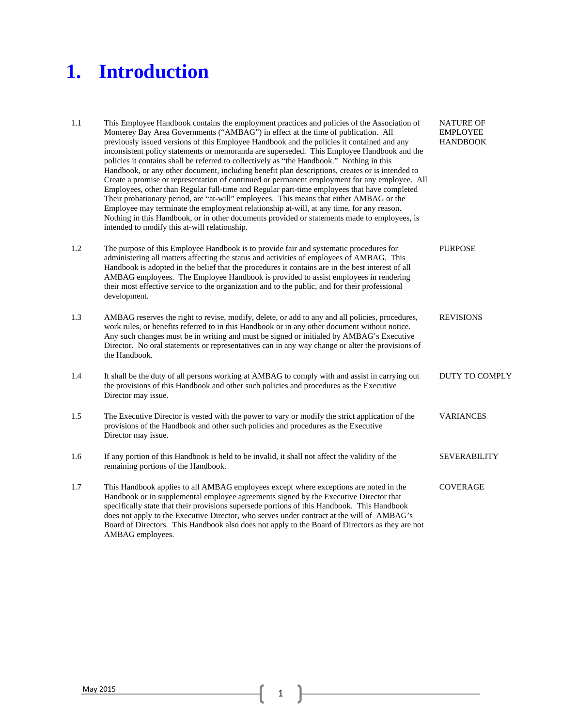## **1. Introduction**

| 1.1 | This Employee Handbook contains the employment practices and policies of the Association of<br>Monterey Bay Area Governments ("AMBAG") in effect at the time of publication. All<br>previously issued versions of this Employee Handbook and the policies it contained and any<br>inconsistent policy statements or memoranda are superseded. This Employee Handbook and the<br>policies it contains shall be referred to collectively as "the Handbook." Nothing in this<br>Handbook, or any other document, including benefit plan descriptions, creates or is intended to<br>Create a promise or representation of continued or permanent employment for any employee. All<br>Employees, other than Regular full-time and Regular part-time employees that have completed<br>Their probationary period, are "at-will" employees. This means that either AMBAG or the<br>Employee may terminate the employment relationship at-will, at any time, for any reason.<br>Nothing in this Handbook, or in other documents provided or statements made to employees, is<br>intended to modify this at-will relationship. | <b>NATURE OF</b><br><b>EMPLOYEE</b><br><b>HANDBOOK</b> |
|-----|----------------------------------------------------------------------------------------------------------------------------------------------------------------------------------------------------------------------------------------------------------------------------------------------------------------------------------------------------------------------------------------------------------------------------------------------------------------------------------------------------------------------------------------------------------------------------------------------------------------------------------------------------------------------------------------------------------------------------------------------------------------------------------------------------------------------------------------------------------------------------------------------------------------------------------------------------------------------------------------------------------------------------------------------------------------------------------------------------------------------|--------------------------------------------------------|
| 1.2 | The purpose of this Employee Handbook is to provide fair and systematic procedures for<br>administering all matters affecting the status and activities of employees of AMBAG. This<br>Handbook is adopted in the belief that the procedures it contains are in the best interest of all<br>AMBAG employees. The Employee Handbook is provided to assist employees in rendering<br>their most effective service to the organization and to the public, and for their professional<br>development.                                                                                                                                                                                                                                                                                                                                                                                                                                                                                                                                                                                                                    | <b>PURPOSE</b>                                         |
| 1.3 | AMBAG reserves the right to revise, modify, delete, or add to any and all policies, procedures,<br>work rules, or benefits referred to in this Handbook or in any other document without notice.<br>Any such changes must be in writing and must be signed or initialed by AMBAG's Executive<br>Director. No oral statements or representatives can in any way change or alter the provisions of<br>the Handbook.                                                                                                                                                                                                                                                                                                                                                                                                                                                                                                                                                                                                                                                                                                    | <b>REVISIONS</b>                                       |
| 1.4 | It shall be the duty of all persons working at AMBAG to comply with and assist in carrying out<br>the provisions of this Handbook and other such policies and procedures as the Executive<br>Director may issue.                                                                                                                                                                                                                                                                                                                                                                                                                                                                                                                                                                                                                                                                                                                                                                                                                                                                                                     | <b>DUTY TO COMPLY</b>                                  |
| 1.5 | The Executive Director is vested with the power to vary or modify the strict application of the<br>provisions of the Handbook and other such policies and procedures as the Executive<br>Director may issue.                                                                                                                                                                                                                                                                                                                                                                                                                                                                                                                                                                                                                                                                                                                                                                                                                                                                                                         | <b>VARIANCES</b>                                       |
| 1.6 | If any portion of this Handbook is held to be invalid, it shall not affect the validity of the<br>remaining portions of the Handbook.                                                                                                                                                                                                                                                                                                                                                                                                                                                                                                                                                                                                                                                                                                                                                                                                                                                                                                                                                                                | <b>SEVERABILITY</b>                                    |
| 1.7 | This Handbook applies to all AMBAG employees except where exceptions are noted in the<br>Handbook or in supplemental employee agreements signed by the Executive Director that<br>specifically state that their provisions supersede portions of this Handbook. This Handbook<br>does not apply to the Executive Director, who serves under contract at the will of AMBAG's<br>Board of Directors. This Handbook also does not apply to the Board of Directors as they are not<br>AMBAG employees.                                                                                                                                                                                                                                                                                                                                                                                                                                                                                                                                                                                                                   | <b>COVERAGE</b>                                        |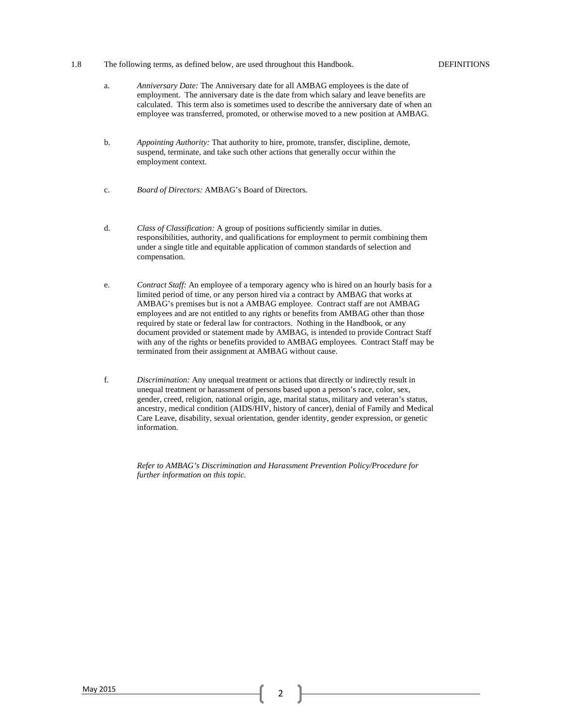1.8 The following terms, as defined below, are used throughout this Handbook. DEFINITIONS

- a. *Anniversary Date:* The Anniversary date for all AMBAG employees is the date of employment. The anniversary date is the date from which salary and leave benefits are calculated. This term also is sometimes used to describe the anniversary date of when an employee was transferred, promoted, or otherwise moved to a new position at AMBAG.
- b. *Appointing Authority:* That authority to hire, promote, transfer, discipline, demote, suspend, terminate, and take such other actions that generally occur within the employment context.
- c. *Board of Directors:* AMBAG's Board of Directors.
- d. *Class of Classification:* A group of positions sufficiently similar in duties. responsibilities, authority, and qualifications for employment to permit combining them under a single title and equitable application of common standards of selection and compensation.
- e. *Contract Staff:* An employee of a temporary agency who is hired on an hourly basis for a limited period of time, or any person hired via a contract by AMBAG that works at AMBAG's premises but is not a AMBAG employee. Contract staff are not AMBAG employees and are not entitled to any rights or benefits from AMBAG other than those required by state or federal law for contractors. Nothing in the Handbook, or any document provided or statement made by AMBAG, is intended to provide Contract Staff with any of the rights or benefits provided to AMBAG employees. Contract Staff may be terminated from their assignment at AMBAG without cause.
- f. *Discrimination:* Any unequal treatment or actions that directly or indirectly result in unequal treatment or harassment of persons based upon a person's race, color, sex, gender, creed, religion, national origin, age, marital status, military and veteran's status, ancestry, medical condition (AIDS/HIV, history of cancer), denial of Family and Medical Care Leave, disability, sexual orientation, gender identity, gender expression, or genetic information.

*Refer to AMBAG's Discrimination and Harassment Prevention Policy/Procedure for further information on this topic.*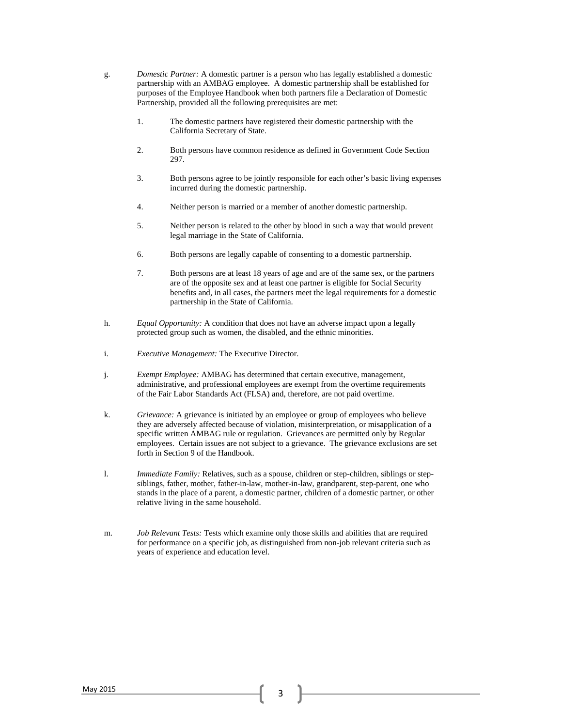- g. *Domestic Partner:* A domestic partner is a person who has legally established a domestic partnership with an AMBAG employee. A domestic partnership shall be established for purposes of the Employee Handbook when both partners file a Declaration of Domestic Partnership, provided all the following prerequisites are met:
	- 1. The domestic partners have registered their domestic partnership with the California Secretary of State.
	- 2. Both persons have common residence as defined in Government Code Section 297.
	- 3. Both persons agree to be jointly responsible for each other's basic living expenses incurred during the domestic partnership.
	- 4. Neither person is married or a member of another domestic partnership.
	- 5. Neither person is related to the other by blood in such a way that would prevent legal marriage in the State of California.
	- 6. Both persons are legally capable of consenting to a domestic partnership.
	- 7. Both persons are at least 18 years of age and are of the same sex, or the partners are of the opposite sex and at least one partner is eligible for Social Security benefits and, in all cases, the partners meet the legal requirements for a domestic partnership in the State of California.
- h. *Equal Opportunity:* A condition that does not have an adverse impact upon a legally protected group such as women, the disabled, and the ethnic minorities.
- i. *Executive Management:* The Executive Director.
- j. *Exempt Employee:* AMBAG has determined that certain executive, management, administrative, and professional employees are exempt from the overtime requirements of the Fair Labor Standards Act (FLSA) and, therefore, are not paid overtime.
- k. *Grievance:* A grievance is initiated by an employee or group of employees who believe they are adversely affected because of violation, misinterpretation, or misapplication of a specific written AMBAG rule or regulation. Grievances are permitted only by Regular employees. Certain issues are not subject to a grievance. The grievance exclusions are set forth in Section 9 of the Handbook.
- l. *Immediate Family:* Relatives, such as a spouse, children or step-children, siblings or stepsiblings, father, mother, father-in-law, mother-in-law, grandparent, step-parent, one who stands in the place of a parent, a domestic partner, children of a domestic partner, or other relative living in the same household.
- m. *Job Relevant Tests:* Tests which examine only those skills and abilities that are required for performance on a specific job, as distinguished from non-job relevant criteria such as years of experience and education level.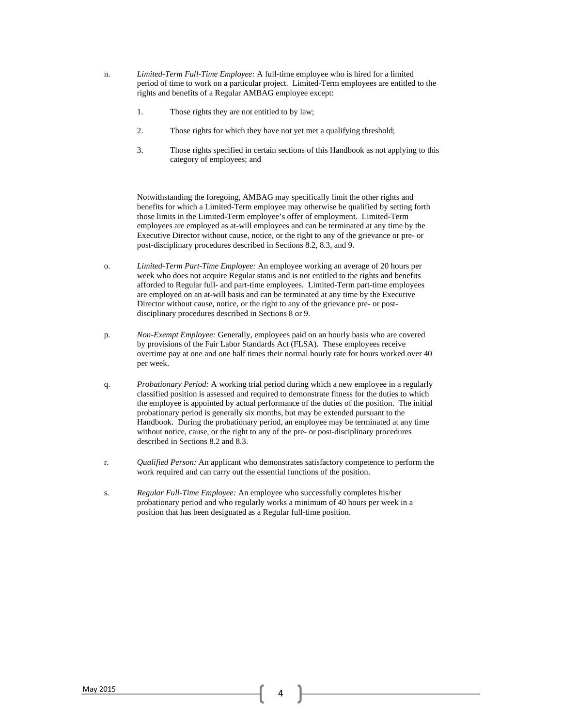- n. *Limited-Term Full-Time Employee:* A full-time employee who is hired for a limited period of time to work on a particular project. Limited-Term employees are entitled to the rights and benefits of a Regular AMBAG employee except:
	- 1. Those rights they are not entitled to by law;
	- 2. Those rights for which they have not yet met a qualifying threshold;
	- 3. Those rights specified in certain sections of this Handbook as not applying to this category of employees; and

Notwithstanding the foregoing, AMBAG may specifically limit the other rights and benefits for which a Limited-Term employee may otherwise be qualified by setting forth those limits in the Limited-Term employee's offer of employment. Limited-Term employees are employed as at-will employees and can be terminated at any time by the Executive Director without cause, notice, or the right to any of the grievance or pre- or post-disciplinary procedures described in Sections 8.2, 8.3, and 9.

- o. *Limited-Term Part-Time Employee:* An employee working an average of 20 hours per week who does not acquire Regular status and is not entitled to the rights and benefits afforded to Regular full- and part-time employees. Limited-Term part-time employees are employed on an at-will basis and can be terminated at any time by the Executive Director without cause, notice, or the right to any of the grievance pre- or postdisciplinary procedures described in Sections 8 or 9.
- p. *Non-Exempt Employee:* Generally, employees paid on an hourly basis who are covered by provisions of the Fair Labor Standards Act (FLSA). These employees receive overtime pay at one and one half times their normal hourly rate for hours worked over 40 per week.
- q. *Probationary Period:* A working trial period during which a new employee in a regularly classified position is assessed and required to demonstrate fitness for the duties to which the employee is appointed by actual performance of the duties of the position. The initial probationary period is generally six months, but may be extended pursuant to the Handbook. During the probationary period, an employee may be terminated at any time without notice, cause, or the right to any of the pre- or post-disciplinary procedures described in Sections 8.2 and 8.3.
- r. *Qualified Person:* An applicant who demonstrates satisfactory competence to perform the work required and can carry out the essential functions of the position.
- s. *Regular Full-Time Employee:* An employee who successfully completes his/her probationary period and who regularly works a minimum of 40 hours per week in a position that has been designated as a Regular full-time position.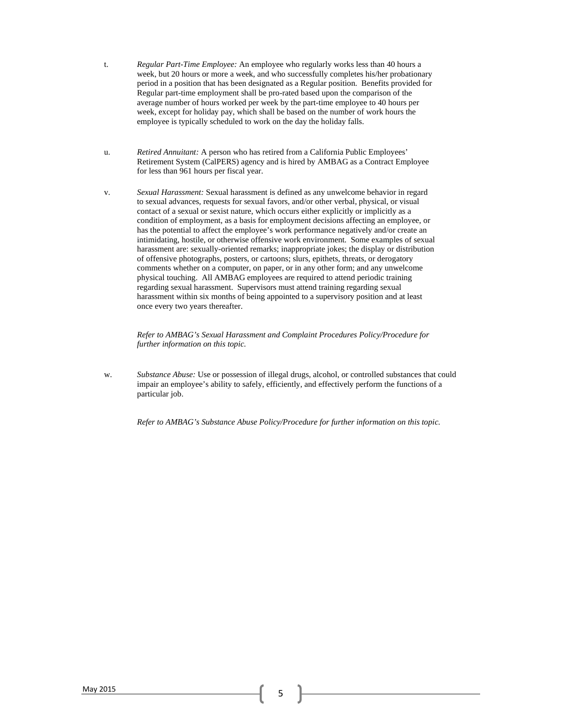- t. *Regular Part-Time Employee:* An employee who regularly works less than 40 hours a week, but 20 hours or more a week, and who successfully completes his/her probationary period in a position that has been designated as a Regular position. Benefits provided for Regular part-time employment shall be pro-rated based upon the comparison of the average number of hours worked per week by the part-time employee to 40 hours per week, except for holiday pay, which shall be based on the number of work hours the employee is typically scheduled to work on the day the holiday falls.
- u. *Retired Annuitant:* A person who has retired from a California Public Employees' Retirement System (CalPERS) agency and is hired by AMBAG as a Contract Employee for less than 961 hours per fiscal year.
- v. *Sexual Harassment:* Sexual harassment is defined as any unwelcome behavior in regard to sexual advances, requests for sexual favors, and/or other verbal, physical, or visual contact of a sexual or sexist nature, which occurs either explicitly or implicitly as a condition of employment, as a basis for employment decisions affecting an employee, or has the potential to affect the employee's work performance negatively and/or create an intimidating, hostile, or otherwise offensive work environment. Some examples of sexual harassment are: sexually-oriented remarks; inappropriate jokes; the display or distribution of offensive photographs, posters, or cartoons; slurs, epithets, threats, or derogatory comments whether on a computer, on paper, or in any other form; and any unwelcome physical touching. All AMBAG employees are required to attend periodic training regarding sexual harassment. Supervisors must attend training regarding sexual harassment within six months of being appointed to a supervisory position and at least once every two years thereafter.

*Refer to AMBAG's Sexual Harassment and Complaint Procedures Policy/Procedure for further information on this topic.* 

w. *Substance Abuse:* Use or possession of illegal drugs, alcohol, or controlled substances that could impair an employee's ability to safely, efficiently, and effectively perform the functions of a particular job.

*Refer to AMBAG's Substance Abuse Policy/Procedure for further information on this topic.*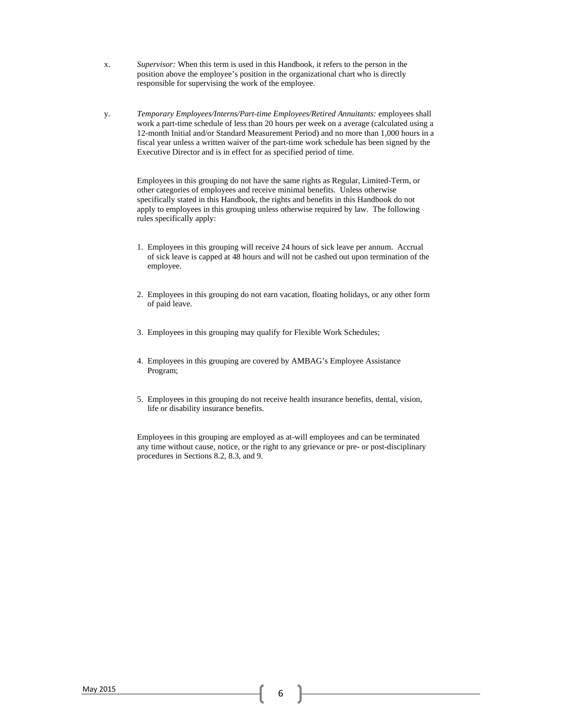- x. *Supervisor:* When this term is used in this Handbook, it refers to the person in the position above the employee's position in the organizational chart who is directly responsible for supervising the work of the employee.
- y. *Temporary Employees/Interns/Part-time Employees/Retired Annuitants:* employees shall work a part-time schedule of less than 20 hours per week on a average (calculated using a 12-month Initial and/or Standard Measurement Period) and no more than 1,000 hours in a fiscal year unless a written waiver of the part-time work schedule has been signed by the Executive Director and is in effect for as specified period of time.

Employees in this grouping do not have the same rights as Regular, Limited-Term, or other categories of employees and receive minimal benefits. Unless otherwise specifically stated in this Handbook, the rights and benefits in this Handbook do not apply to employees in this grouping unless otherwise required by law. The following rules specifically apply:

- 1. Employees in this grouping will receive 24 hours of sick leave per annum. Accrual of sick leave is capped at 48 hours and will not be cashed out upon termination of the employee.
- 2. Employees in this grouping do not earn vacation, floating holidays, or any other form of paid leave.
- 3. Employees in this grouping may qualify for Flexible Work Schedules;
- 4. Employees in this grouping are covered by AMBAG's Employee Assistance Program;
- 5. Employees in this grouping do not receive health insurance benefits, dental, vision, life or disability insurance benefits.

Employees in this grouping are employed as at-will employees and can be terminated any time without cause, notice, or the right to any grievance or pre- or post-disciplinary procedures in Sections 8.2, 8.3, and 9.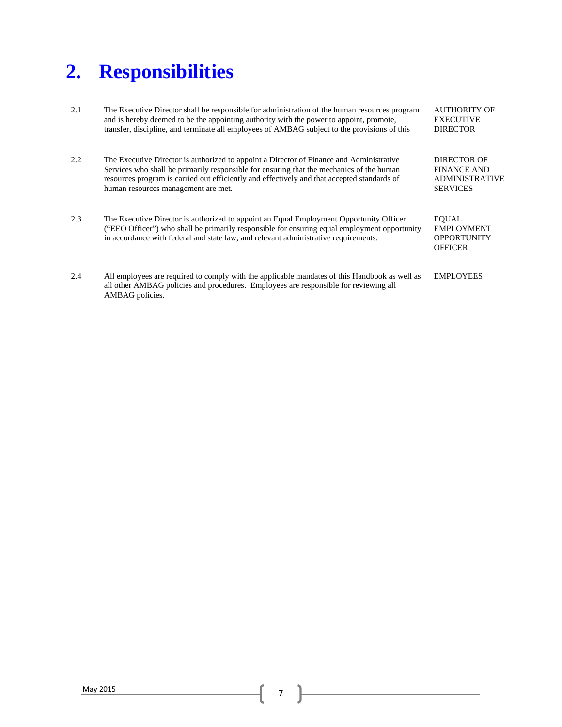## **2. Responsibilities**

AMBAG policies.

| 2.1 | The Executive Director shall be responsible for administration of the human resources program<br>and is hereby deemed to be the appointing authority with the power to appoint, promote,<br>transfer, discipline, and terminate all employees of AMBAG subject to the provisions of this                                   | <b>AUTHORITY OF</b><br><b>EXECUTIVE</b><br><b>DIRECTOR</b>                    |
|-----|----------------------------------------------------------------------------------------------------------------------------------------------------------------------------------------------------------------------------------------------------------------------------------------------------------------------------|-------------------------------------------------------------------------------|
| 2.2 | The Executive Director is authorized to appoint a Director of Finance and Administrative<br>Services who shall be primarily responsible for ensuring that the mechanics of the human<br>resources program is carried out efficiently and effectively and that accepted standards of<br>human resources management are met. | DIRECTOR OF<br><b>FINANCE AND</b><br><b>ADMINISTRATIVE</b><br><b>SERVICES</b> |
| 2.3 | The Executive Director is authorized to appoint an Equal Employment Opportunity Officer<br>("EEO Officer") who shall be primarily responsible for ensuring equal employment opportunity<br>in accordance with federal and state law, and relevant administrative requirements.                                             | <b>EOUAL</b><br><b>EMPLOYMENT</b><br><b>OPPORTUNITY</b><br><b>OFFICER</b>     |
| 2.4 | All employees are required to comply with the applicable mandates of this Handbook as well as<br>all other AMBAG policies and procedures. Employees are responsible for reviewing all                                                                                                                                      | <b>EMPLOYEES</b>                                                              |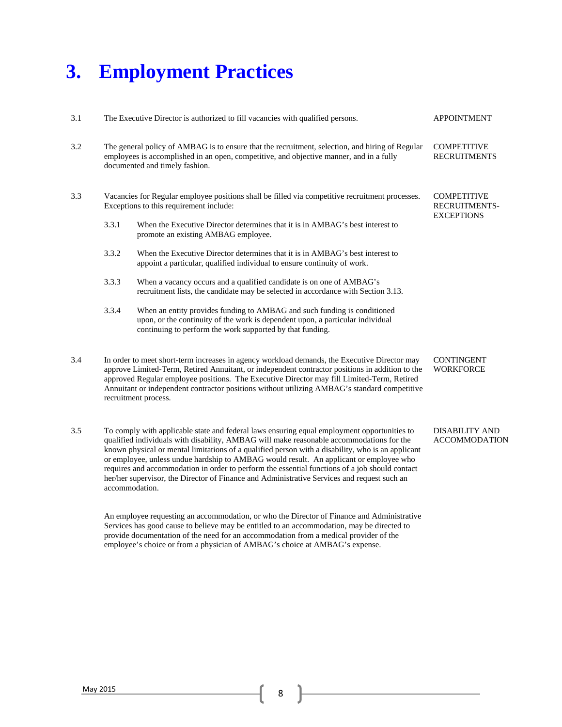## **3. Employment Practices**

| 3.1 |                                                                                                                                                                                                                                                                             | The Executive Director is authorized to fill vacancies with qualified persons.                                                                                                                                                                                                                                                                                                                                                                                                                                                                                                                            |                                                                 |
|-----|-----------------------------------------------------------------------------------------------------------------------------------------------------------------------------------------------------------------------------------------------------------------------------|-----------------------------------------------------------------------------------------------------------------------------------------------------------------------------------------------------------------------------------------------------------------------------------------------------------------------------------------------------------------------------------------------------------------------------------------------------------------------------------------------------------------------------------------------------------------------------------------------------------|-----------------------------------------------------------------|
| 3.2 |                                                                                                                                                                                                                                                                             | <b>COMPETITIVE</b><br>The general policy of AMBAG is to ensure that the recruitment, selection, and hiring of Regular<br>employees is accomplished in an open, competitive, and objective manner, and in a fully<br><b>RECRUITMENTS</b><br>documented and timely fashion.                                                                                                                                                                                                                                                                                                                                 |                                                                 |
| 3.3 | Vacancies for Regular employee positions shall be filled via competitive recruitment processes.<br>Exceptions to this requirement include:<br>3.3.1<br>When the Executive Director determines that it is in AMBAG's best interest to<br>promote an existing AMBAG employee. |                                                                                                                                                                                                                                                                                                                                                                                                                                                                                                                                                                                                           | <b>COMPETITIVE</b><br><b>RECRUITMENTS-</b><br><b>EXCEPTIONS</b> |
|     | 3.3.2                                                                                                                                                                                                                                                                       | When the Executive Director determines that it is in AMBAG's best interest to<br>appoint a particular, qualified individual to ensure continuity of work.                                                                                                                                                                                                                                                                                                                                                                                                                                                 |                                                                 |
|     | 3.3.3                                                                                                                                                                                                                                                                       | When a vacancy occurs and a qualified candidate is on one of AMBAG's<br>recruitment lists, the candidate may be selected in accordance with Section 3.13.                                                                                                                                                                                                                                                                                                                                                                                                                                                 |                                                                 |
|     | 3.3.4                                                                                                                                                                                                                                                                       | When an entity provides funding to AMBAG and such funding is conditioned<br>upon, or the continuity of the work is dependent upon, a particular individual<br>continuing to perform the work supported by that funding.                                                                                                                                                                                                                                                                                                                                                                                   |                                                                 |
| 3.4 |                                                                                                                                                                                                                                                                             | In order to meet short-term increases in agency workload demands, the Executive Director may<br>approve Limited-Term, Retired Annuitant, or independent contractor positions in addition to the<br>approved Regular employee positions. The Executive Director may fill Limited-Term, Retired<br>Annuitant or independent contractor positions without utilizing AMBAG's standard competitive<br>recruitment process.                                                                                                                                                                                     | <b>CONTINGENT</b><br><b>WORKFORCE</b>                           |
| 3.5 |                                                                                                                                                                                                                                                                             | To comply with applicable state and federal laws ensuring equal employment opportunities to<br>qualified individuals with disability, AMBAG will make reasonable accommodations for the<br>known physical or mental limitations of a qualified person with a disability, who is an applicant<br>or employee, unless undue hardship to AMBAG would result. An applicant or employee who<br>requires and accommodation in order to perform the essential functions of a job should contact<br>her/her supervisor, the Director of Finance and Administrative Services and request such an<br>accommodation. | <b>DISABILITY AND</b><br><b>ACCOMMODATION</b>                   |
|     |                                                                                                                                                                                                                                                                             | An employee requesting an accommodation, or who the Director of Finance and Administrative<br>Services has good cause to believe may be entitled to an accommodation, may be directed to                                                                                                                                                                                                                                                                                                                                                                                                                  |                                                                 |

May 2015 8 8

provide documentation of the need for an accommodation from a medical provider of the employee's choice or from a physician of AMBAG's choice at AMBAG's expense.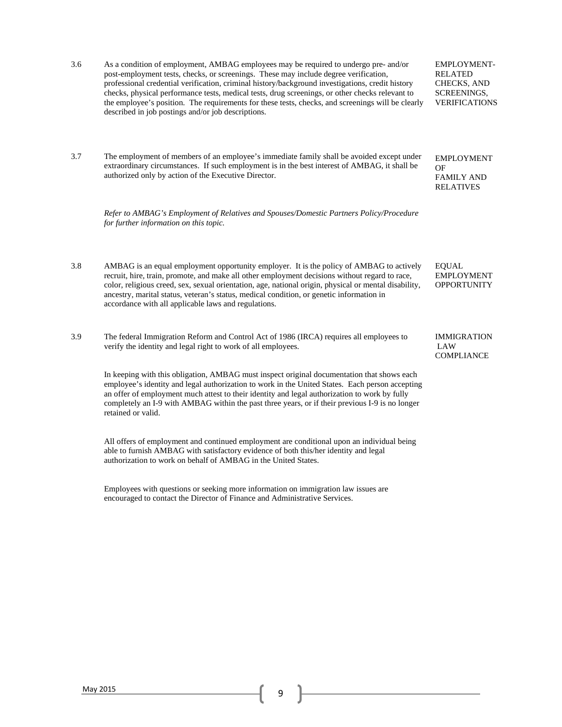3.6 As a condition of employment, AMBAG employees may be required to undergo pre- and/or post-employment tests, checks, or screenings. These may include degree verification, professional credential verification, criminal history/background investigations, credit history checks, physical performance tests, medical tests, drug screenings, or other checks relevant to the employee's position. The requirements for these tests, checks, and screenings will be clearly described in job postings and/or job descriptions. EMPLOYMENT-RELATED CHECKS, AND SCREENINGS, VERIFICATIONS 3.7 The employment of members of an employee's immediate family shall be avoided except under extraordinary circumstances. If such employment is in the best interest of AMBAG, it shall be authorized only by action of the Executive Director. *Refer to AMBAG's Employment of Relatives and Spouses/Domestic Partners Policy/Procedure for further information on this topic.*  EMPLOYMENT OF FAMILY AND RELATIVES 3.8 AMBAG is an equal employment opportunity employer. It is the policy of AMBAG to actively recruit, hire, train, promote, and make all other employment decisions without regard to race, color, religious creed, sex, sexual orientation, age, national origin, physical or mental disability, ancestry, marital status, veteran's status, medical condition, or genetic information in accordance with all applicable laws and regulations. EQUAL EMPLOYMENT **OPPORTUNITY** 3.9 The federal Immigration Reform and Control Act of 1986 (IRCA) requires all employees to verify the identity and legal right to work of all employees. In keeping with this obligation, AMBAG must inspect original documentation that shows each employee's identity and legal authorization to work in the United States. Each person accepting an offer of employment much attest to their identity and legal authorization to work by fully completely an I-9 with AMBAG within the past three years, or if their previous I-9 is no longer retained or valid. All offers of employment and continued employment are conditional upon an individual being IMMIGRATION LAW COMPLIANCE

able to furnish AMBAG with satisfactory evidence of both this/her identity and legal authorization to work on behalf of AMBAG in the United States.

Employees with questions or seeking more information on immigration law issues are encouraged to contact the Director of Finance and Administrative Services.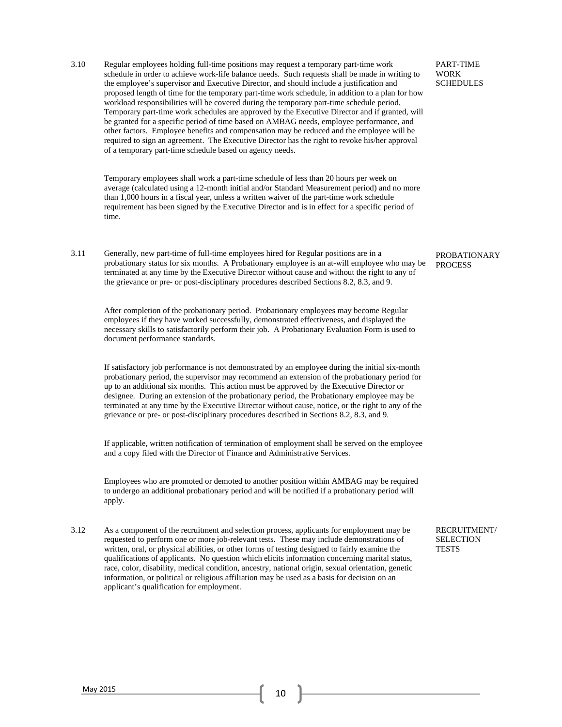3.10 Regular employees holding full-time positions may request a temporary part-time work schedule in order to achieve work-life balance needs. Such requests shall be made in writing to the employee's supervisor and Executive Director, and should include a justification and proposed length of time for the temporary part-time work schedule, in addition to a plan for how workload responsibilities will be covered during the temporary part-time schedule period. Temporary part-time work schedules are approved by the Executive Director and if granted, will be granted for a specific period of time based on AMBAG needs, employee performance, and other factors. Employee benefits and compensation may be reduced and the employee will be required to sign an agreement. The Executive Director has the right to revoke his/her approval of a temporary part-time schedule based on agency needs.

Temporary employees shall work a part-time schedule of less than 20 hours per week on average (calculated using a 12-month initial and/or Standard Measurement period) and no more than 1,000 hours in a fiscal year, unless a written waiver of the part-time work schedule requirement has been signed by the Executive Director and is in effect for a specific period of time.

3.11 Generally, new part-time of full-time employees hired for Regular positions are in a probationary status for six months. A Probationary employee is an at-will employee who may be terminated at any time by the Executive Director without cause and without the right to any of the grievance or pre- or post-disciplinary procedures described Sections 8.2, 8.3, and 9.

After completion of the probationary period. Probationary employees may become Regular employees if they have worked successfully, demonstrated effectiveness, and displayed the necessary skills to satisfactorily perform their job. A Probationary Evaluation Form is used to document performance standards.

If satisfactory job performance is not demonstrated by an employee during the initial six-month probationary period, the supervisor may recommend an extension of the probationary period for up to an additional six months. This action must be approved by the Executive Director or designee. During an extension of the probationary period, the Probationary employee may be terminated at any time by the Executive Director without cause, notice, or the right to any of the grievance or pre- or post-disciplinary procedures described in Sections 8.2, 8.3, and 9.

If applicable, written notification of termination of employment shall be served on the employee and a copy filed with the Director of Finance and Administrative Services.

Employees who are promoted or demoted to another position within AMBAG may be required to undergo an additional probationary period and will be notified if a probationary period will apply.

3.12 As a component of the recruitment and selection process, applicants for employment may be requested to perform one or more job-relevant tests. These may include demonstrations of written, oral, or physical abilities, or other forms of testing designed to fairly examine the qualifications of applicants. No question which elicits information concerning marital status, race, color, disability, medical condition, ancestry, national origin, sexual orientation, genetic information, or political or religious affiliation may be used as a basis for decision on an applicant's qualification for employment.

PART-TIME WORK **SCHEDULES** 

PROBATIONARY **PROCESS** 

RECRUITMENT/ **SELECTION TESTS**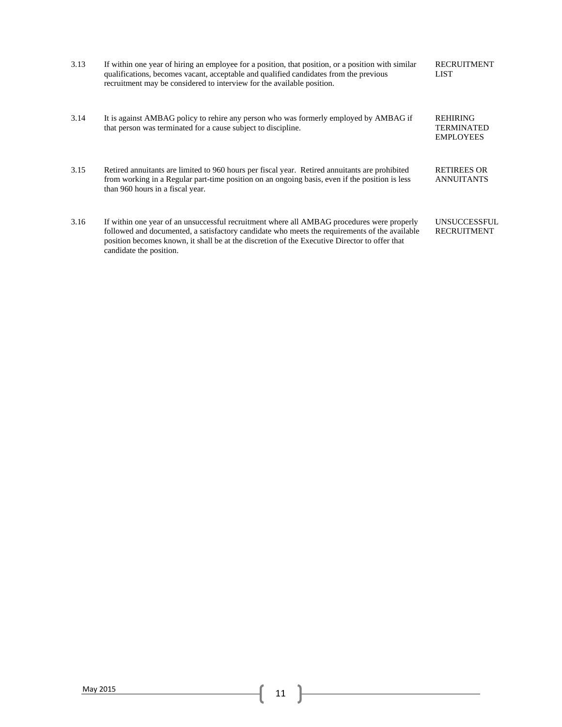| 3.13 | If within one year of hiring an employee for a position, that position, or a position with similar<br>qualifications, becomes vacant, acceptable and qualified candidates from the previous<br>recruitment may be considered to interview for the available position.                                                   | <b>RECRUITMENT</b><br><b>LIST</b>                        |
|------|-------------------------------------------------------------------------------------------------------------------------------------------------------------------------------------------------------------------------------------------------------------------------------------------------------------------------|----------------------------------------------------------|
| 3.14 | It is against AMBAG policy to rehire any person who was formerly employed by AMBAG if<br>that person was terminated for a cause subject to discipline.                                                                                                                                                                  | <b>REHIRING</b><br><b>TERMINATED</b><br><b>EMPLOYEES</b> |
| 3.15 | Retired annuitants are limited to 960 hours per fiscal year. Retired annuitants are prohibited<br>from working in a Regular part-time position on an ongoing basis, even if the position is less<br>than 960 hours in a fiscal year.                                                                                    | <b>RETIREES OR</b><br><b>ANNUITANTS</b>                  |
| 3.16 | If within one year of an unsuccessful recruitment where all AMBAG procedures were properly<br>followed and documented, a satisfactory candidate who meets the requirements of the available<br>position becomes known, it shall be at the discretion of the Executive Director to offer that<br>candidate the position. | <b>UNSUCCESSFUL</b><br><b>RECRUITMENT</b>                |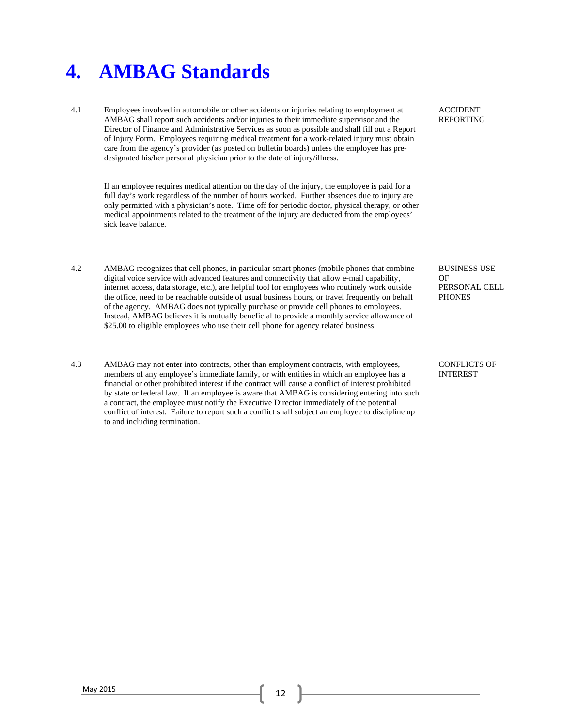### **4. AMBAG Standards**

4.1 Employees involved in automobile or other accidents or injuries relating to employment at AMBAG shall report such accidents and/or injuries to their immediate supervisor and the Director of Finance and Administrative Services as soon as possible and shall fill out a Report of Injury Form. Employees requiring medical treatment for a work-related injury must obtain care from the agency's provider (as posted on bulletin boards) unless the employee has predesignated his/her personal physician prior to the date of injury/illness.

If an employee requires medical attention on the day of the injury, the employee is paid for a full day's work regardless of the number of hours worked. Further absences due to injury are only permitted with a physician's note. Time off for periodic doctor, physical therapy, or other medical appointments related to the treatment of the injury are deducted from the employees' sick leave balance.

- 4.2 AMBAG recognizes that cell phones, in particular smart phones (mobile phones that combine digital voice service with advanced features and connectivity that allow e-mail capability, internet access, data storage, etc.), are helpful tool for employees who routinely work outside the office, need to be reachable outside of usual business hours, or travel frequently on behalf of the agency. AMBAG does not typically purchase or provide cell phones to employees. Instead, AMBAG believes it is mutually beneficial to provide a monthly service allowance of \$25.00 to eligible employees who use their cell phone for agency related business.
- 4.3 AMBAG may not enter into contracts, other than employment contracts, with employees, members of any employee's immediate family, or with entities in which an employee has a financial or other prohibited interest if the contract will cause a conflict of interest prohibited by state or federal law. If an employee is aware that AMBAG is considering entering into such a contract, the employee must notify the Executive Director immediately of the potential conflict of interest. Failure to report such a conflict shall subject an employee to discipline up to and including termination.

ACCIDENT REPORTING

BUSINESS USE OF PERSONAL CELL **PHONES** 

CONFLICTS OF INTEREST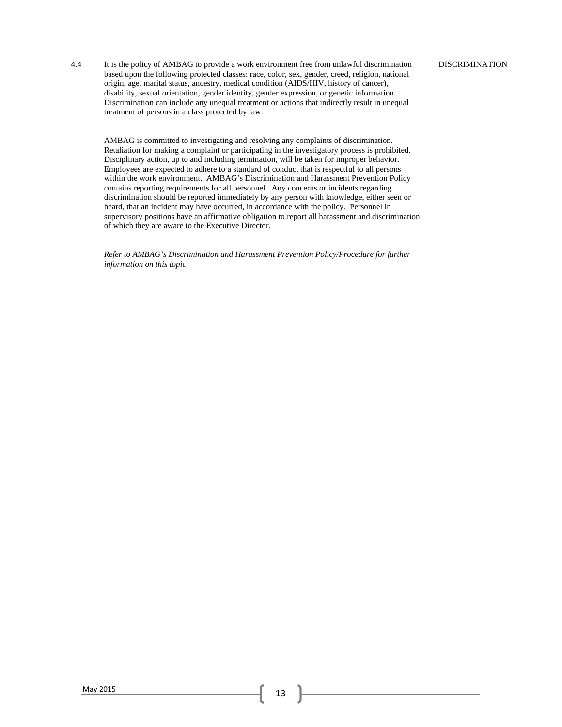4.4 It is the policy of AMBAG to provide a work environment free from unlawful discrimination based upon the following protected classes: race, color, sex, gender, creed, religion, national origin, age, marital status, ancestry, medical condition (AIDS/HIV, history of cancer), disability, sexual orientation, gender identity, gender expression, or genetic information. Discrimination can include any unequal treatment or actions that indirectly result in unequal treatment of persons in a class protected by law.

AMBAG is committed to investigating and resolving any complaints of discrimination. Retaliation for making a complaint or participating in the investigatory process is prohibited. Disciplinary action, up to and including termination, will be taken for improper behavior. Employees are expected to adhere to a standard of conduct that is respectful to all persons within the work environment. AMBAG's Discrimination and Harassment Prevention Policy contains reporting requirements for all personnel. Any concerns or incidents regarding discrimination should be reported immediately by any person with knowledge, either seen or heard, that an incident may have occurred, in accordance with the policy. Personnel in supervisory positions have an affirmative obligation to report all harassment and discrimination of which they are aware to the Executive Director.

*Refer to AMBAG's Discrimination and Harassment Prevention Policy/Procedure for further information on this topic.*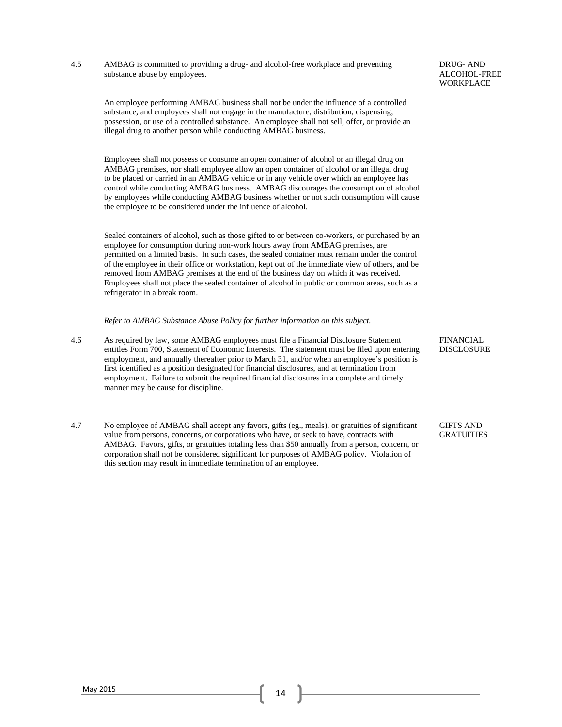4.5 AMBAG is committed to providing a drug- and alcohol-free workplace and preventing substance abuse by employees.

An employee performing AMBAG business shall not be under the influence of a controlled substance, and employees shall not engage in the manufacture, distribution, dispensing, possession, or use of a controlled substance. An employee shall not sell, offer, or provide an illegal drug to another person while conducting AMBAG business.

Employees shall not possess or consume an open container of alcohol or an illegal drug on AMBAG premises, nor shall employee allow an open container of alcohol or an illegal drug to be placed or carried in an AMBAG vehicle or in any vehicle over which an employee has control while conducting AMBAG business. AMBAG discourages the consumption of alcohol by employees while conducting AMBAG business whether or not such consumption will cause the employee to be considered under the influence of alcohol.

Sealed containers of alcohol, such as those gifted to or between co-workers, or purchased by an employee for consumption during non-work hours away from AMBAG premises, are permitted on a limited basis. In such cases, the sealed container must remain under the control of the employee in their office or workstation, kept out of the immediate view of others, and be removed from AMBAG premises at the end of the business day on which it was received. Employees shall not place the sealed container of alcohol in public or common areas, such as a refrigerator in a break room.

*Refer to AMBAG Substance Abuse Policy for further information on this subject.* 

- 4.6 As required by law, some AMBAG employees must file a Financial Disclosure Statement entitles Form 700, Statement of Economic Interests. The statement must be filed upon entering employment, and annually thereafter prior to March 31, and/or when an employee's position is first identified as a position designated for financial disclosures, and at termination from employment. Failure to submit the required financial disclosures in a complete and timely manner may be cause for discipline.
- 4.7 No employee of AMBAG shall accept any favors, gifts (eg., meals), or gratuities of significant value from persons, concerns, or corporations who have, or seek to have, contracts with AMBAG. Favors, gifts, or gratuities totaling less than \$50 annually from a person, concern, or corporation shall not be considered significant for purposes of AMBAG policy. Violation of this section may result in immediate termination of an employee.

FINANCIAL DISCLOSURE

GIFTS AND GRATUITIES

DRUG- AND ALCOHOL-FREE **WORKPLACE**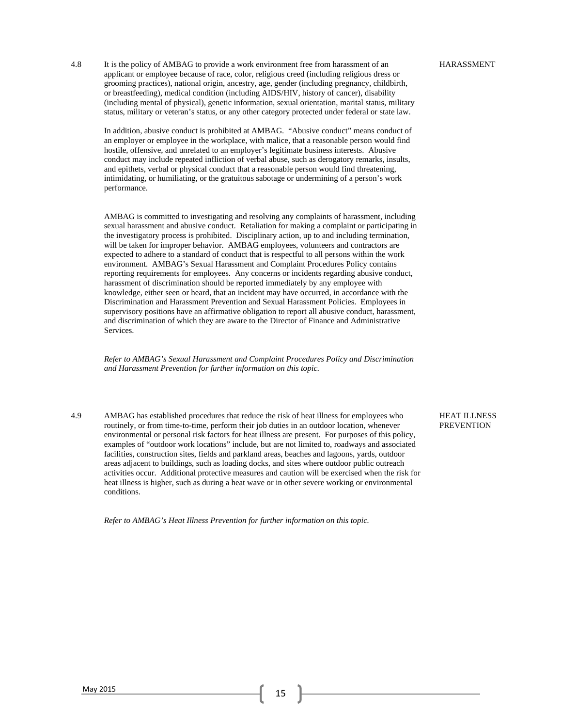4.8 It is the policy of AMBAG to provide a work environment free from harassment of an applicant or employee because of race, color, religious creed (including religious dress or grooming practices), national origin, ancestry, age, gender (including pregnancy, childbirth, or breastfeeding), medical condition (including AIDS/HIV, history of cancer), disability (including mental of physical), genetic information, sexual orientation, marital status, military status, military or veteran's status, or any other category protected under federal or state law.

In addition, abusive conduct is prohibited at AMBAG. "Abusive conduct" means conduct of an employer or employee in the workplace, with malice, that a reasonable person would find hostile, offensive, and unrelated to an employer's legitimate business interests. Abusive conduct may include repeated infliction of verbal abuse, such as derogatory remarks, insults, and epithets, verbal or physical conduct that a reasonable person would find threatening, intimidating, or humiliating, or the gratuitous sabotage or undermining of a person's work performance.

AMBAG is committed to investigating and resolving any complaints of harassment, including sexual harassment and abusive conduct. Retaliation for making a complaint or participating in the investigatory process is prohibited. Disciplinary action, up to and including termination, will be taken for improper behavior. AMBAG employees, volunteers and contractors are expected to adhere to a standard of conduct that is respectful to all persons within the work environment. AMBAG's Sexual Harassment and Complaint Procedures Policy contains reporting requirements for employees. Any concerns or incidents regarding abusive conduct, harassment of discrimination should be reported immediately by any employee with knowledge, either seen or heard, that an incident may have occurred, in accordance with the Discrimination and Harassment Prevention and Sexual Harassment Policies. Employees in supervisory positions have an affirmative obligation to report all abusive conduct, harassment, and discrimination of which they are aware to the Director of Finance and Administrative Services.

*Refer to AMBAG's Sexual Harassment and Complaint Procedures Policy and Discrimination and Harassment Prevention for further information on this topic.* 

4.9 AMBAG has established procedures that reduce the risk of heat illness for employees who routinely, or from time-to-time, perform their job duties in an outdoor location, whenever environmental or personal risk factors for heat illness are present. For purposes of this policy, examples of "outdoor work locations" include, but are not limited to, roadways and associated facilities, construction sites, fields and parkland areas, beaches and lagoons, yards, outdoor areas adjacent to buildings, such as loading docks, and sites where outdoor public outreach activities occur. Additional protective measures and caution will be exercised when the risk for heat illness is higher, such as during a heat wave or in other severe working or environmental conditions.

*Refer to AMBAG's Heat Illness Prevention for further information on this topic.*

HEAT ILLNESS **PREVENTION**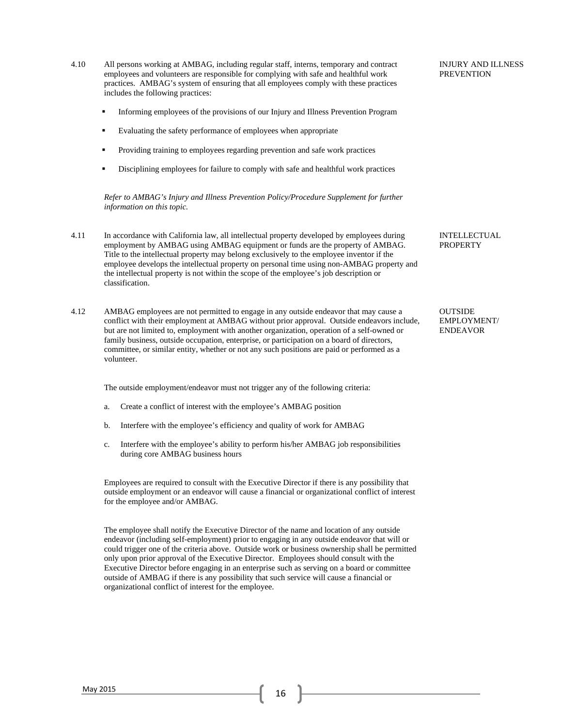employees and volunteers are responsible for complying with safe and healthful work practices. AMBAG's system of ensuring that all employees comply with these practices includes the following practices: Informing employees of the provisions of our Injury and Illness Prevention Program Evaluating the safety performance of employees when appropriate Providing training to employees regarding prevention and safe work practices Disciplining employees for failure to comply with safe and healthful work practices *Refer to AMBAG's Injury and Illness Prevention Policy/Procedure Supplement for further information on this topic.*  **PREVENTION** 4.11 In accordance with California law, all intellectual property developed by employees during employment by AMBAG using AMBAG equipment or funds are the property of AMBAG. Title to the intellectual property may belong exclusively to the employee inventor if the employee develops the intellectual property on personal time using non-AMBAG property and the intellectual property is not within the scope of the employee's job description or classification. INTELLECTUAL **PROPERTY** 4.12 AMBAG employees are not permitted to engage in any outside endeavor that may cause a conflict with their employment at AMBAG without prior approval. Outside endeavors include, but are not limited to, employment with another organization, operation of a self-owned or family business, outside occupation, enterprise, or participation on a board of directors, committee, or similar entity, whether or not any such positions are paid or performed as a volunteer. The outside employment/endeavor must not trigger any of the following criteria: a. Create a conflict of interest with the employee's AMBAG position **OUTSIDE** EMPLOYMENT/ ENDEAVOR

INJURY AND ILLNESS

b. Interfere with the employee's efficiency and quality of work for AMBAG

4.10 All persons working at AMBAG, including regular staff, interns, temporary and contract

c. Interfere with the employee's ability to perform his/her AMBAG job responsibilities during core AMBAG business hours

 Employees are required to consult with the Executive Director if there is any possibility that outside employment or an endeavor will cause a financial or organizational conflict of interest for the employee and/or AMBAG.

 The employee shall notify the Executive Director of the name and location of any outside endeavor (including self-employment) prior to engaging in any outside endeavor that will or could trigger one of the criteria above. Outside work or business ownership shall be permitted only upon prior approval of the Executive Director. Employees should consult with the Executive Director before engaging in an enterprise such as serving on a board or committee outside of AMBAG if there is any possibility that such service will cause a financial or organizational conflict of interest for the employee.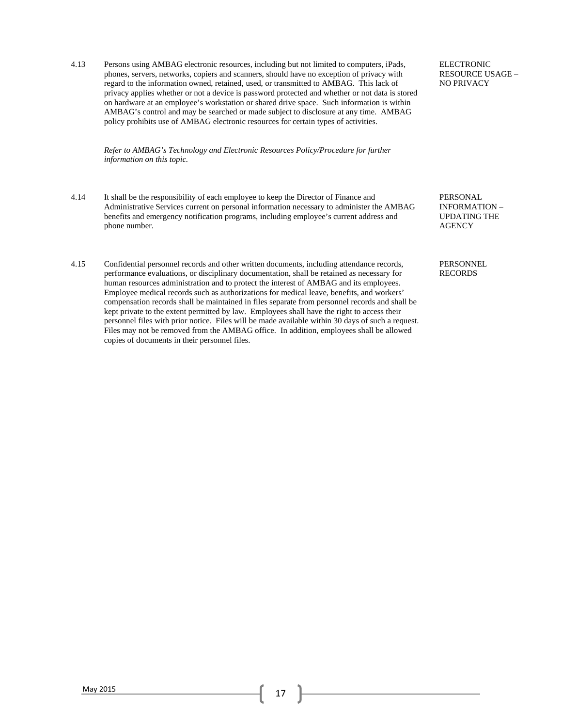4.13 Persons using AMBAG electronic resources, including but not limited to computers, iPads, phones, servers, networks, copiers and scanners, should have no exception of privacy with regard to the information owned, retained, used, or transmitted to AMBAG. This lack of privacy applies whether or not a device is password protected and whether or not data is stored on hardware at an employee's workstation or shared drive space. Such information is within AMBAG's control and may be searched or made subject to disclosure at any time. AMBAG policy prohibits use of AMBAG electronic resources for certain types of activities.

*Refer to AMBAG's Technology and Electronic Resources Policy/Procedure for further information on this topic.* 

- 4.14 It shall be the responsibility of each employee to keep the Director of Finance and Administrative Services current on personal information necessary to administer the AMBAG benefits and emergency notification programs, including employee's current address and phone number.
- 4.15 Confidential personnel records and other written documents, including attendance records, performance evaluations, or disciplinary documentation, shall be retained as necessary for human resources administration and to protect the interest of AMBAG and its employees. Employee medical records such as authorizations for medical leave, benefits, and workers' compensation records shall be maintained in files separate from personnel records and shall be kept private to the extent permitted by law. Employees shall have the right to access their personnel files with prior notice. Files will be made available within 30 days of such a request. Files may not be removed from the AMBAG office. In addition, employees shall be allowed copies of documents in their personnel files.

ELECTRONIC RESOURCE USAGE – NO PRIVACY

PERSONAL INFORMATION – UPDATING THE **AGENCY** 

PERSONNEL RECORDS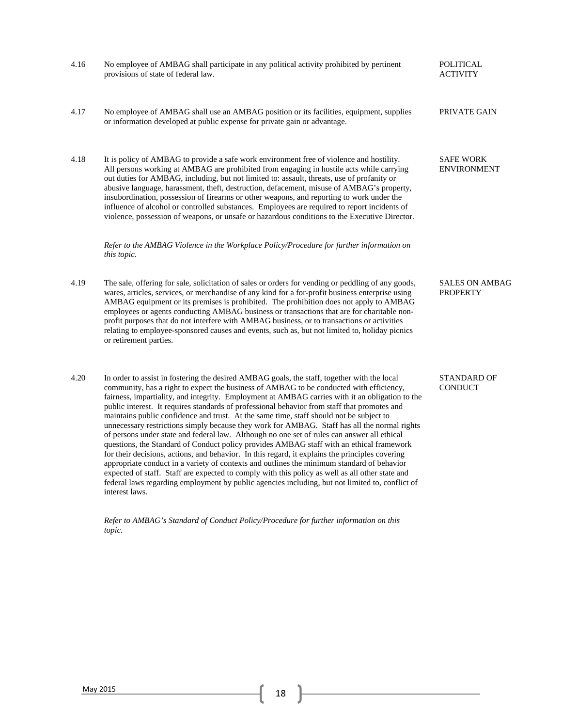| 4.16 | No employee of AMBAG shall participate in any political activity prohibited by pertinent<br>provisions of state of federal law.                                                                                                                                                                                                                                                                                                                                                                                                                                                                                                                                                                                                                                                                                                                                                                                                                                                                                                                                                                                                                                                                          | <b>POLITICAL</b><br><b>ACTIVITY</b>      |
|------|----------------------------------------------------------------------------------------------------------------------------------------------------------------------------------------------------------------------------------------------------------------------------------------------------------------------------------------------------------------------------------------------------------------------------------------------------------------------------------------------------------------------------------------------------------------------------------------------------------------------------------------------------------------------------------------------------------------------------------------------------------------------------------------------------------------------------------------------------------------------------------------------------------------------------------------------------------------------------------------------------------------------------------------------------------------------------------------------------------------------------------------------------------------------------------------------------------|------------------------------------------|
| 4.17 | No employee of AMBAG shall use an AMBAG position or its facilities, equipment, supplies<br>or information developed at public expense for private gain or advantage.                                                                                                                                                                                                                                                                                                                                                                                                                                                                                                                                                                                                                                                                                                                                                                                                                                                                                                                                                                                                                                     | PRIVATE GAIN                             |
| 4.18 | It is policy of AMBAG to provide a safe work environment free of violence and hostility.<br>All persons working at AMBAG are prohibited from engaging in hostile acts while carrying<br>out duties for AMBAG, including, but not limited to: assault, threats, use of profanity or<br>abusive language, harassment, theft, destruction, defacement, misuse of AMBAG's property,<br>insubordination, possession of firearms or other weapons, and reporting to work under the<br>influence of alcohol or controlled substances. Employees are required to report incidents of<br>violence, possession of weapons, or unsafe or hazardous conditions to the Executive Director.                                                                                                                                                                                                                                                                                                                                                                                                                                                                                                                            | <b>SAFE WORK</b><br><b>ENVIRONMENT</b>   |
|      | Refer to the AMBAG Violence in the Workplace Policy/Procedure for further information on<br>this topic.                                                                                                                                                                                                                                                                                                                                                                                                                                                                                                                                                                                                                                                                                                                                                                                                                                                                                                                                                                                                                                                                                                  |                                          |
| 4.19 | The sale, offering for sale, solicitation of sales or orders for vending or peddling of any goods,<br>wares, articles, services, or merchandise of any kind for a for-profit business enterprise using<br>AMBAG equipment or its premises is prohibited. The prohibition does not apply to AMBAG<br>employees or agents conducting AMBAG business or transactions that are for charitable non-<br>profit purposes that do not interfere with AMBAG business, or to transactions or activities<br>relating to employee-sponsored causes and events, such as, but not limited to, holiday picnics<br>or retirement parties.                                                                                                                                                                                                                                                                                                                                                                                                                                                                                                                                                                                | <b>SALES ON AMBAG</b><br><b>PROPERTY</b> |
| 4.20 | In order to assist in fostering the desired AMBAG goals, the staff, together with the local<br>community, has a right to expect the business of AMBAG to be conducted with efficiency,<br>fairness, impartiality, and integrity. Employment at AMBAG carries with it an obligation to the<br>public interest. It requires standards of professional behavior from staff that promotes and<br>maintains public confidence and trust. At the same time, staff should not be subject to<br>unnecessary restrictions simply because they work for AMBAG. Staff has all the normal rights<br>of persons under state and federal law. Although no one set of rules can answer all ethical<br>questions, the Standard of Conduct policy provides AMBAG staff with an ethical framework<br>for their decisions, actions, and behavior. In this regard, it explains the principles covering<br>appropriate conduct in a variety of contexts and outlines the minimum standard of behavior<br>expected of staff. Staff are expected to comply with this policy as well as all other state and<br>federal laws regarding employment by public agencies including, but not limited to, conflict of<br>interest laws. | <b>STANDARD OF</b><br><b>CONDUCT</b>     |

*Refer to AMBAG's Standard of Conduct Policy/Procedure for further information on this topic.*

 $\begin{bmatrix} \text{May } 2015 \end{bmatrix}$  18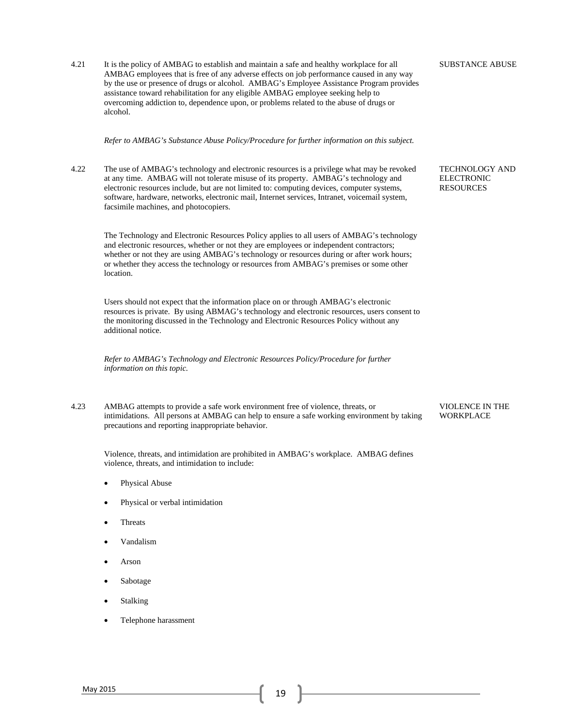4.21 It is the policy of AMBAG to establish and maintain a safe and healthy workplace for all AMBAG employees that is free of any adverse effects on job performance caused in any way by the use or presence of drugs or alcohol. AMBAG's Employee Assistance Program provides assistance toward rehabilitation for any eligible AMBAG employee seeking help to overcoming addiction to, dependence upon, or problems related to the abuse of drugs or alcohol.

*Refer to AMBAG's Substance Abuse Policy/Procedure for further information on this subject.* 

4.22 The use of AMBAG's technology and electronic resources is a privilege what may be revoked at any time. AMBAG will not tolerate misuse of its property. AMBAG's technology and electronic resources include, but are not limited to: computing devices, computer systems, software, hardware, networks, electronic mail, Internet services, Intranet, voicemail system, facsimile machines, and photocopiers.

The Technology and Electronic Resources Policy applies to all users of AMBAG's technology and electronic resources, whether or not they are employees or independent contractors; whether or not they are using AMBAG's technology or resources during or after work hours; or whether they access the technology or resources from AMBAG's premises or some other location.

Users should not expect that the information place on or through AMBAG's electronic resources is private. By using ABMAG's technology and electronic resources, users consent to the monitoring discussed in the Technology and Electronic Resources Policy without any additional notice.

*Refer to AMBAG's Technology and Electronic Resources Policy/Procedure for further information on this topic.* 

4.23 AMBAG attempts to provide a safe work environment free of violence, threats, or intimidations. All persons at AMBAG can help to ensure a safe working environment by taking precautions and reporting inappropriate behavior.

Violence, threats, and intimidation are prohibited in AMBAG's workplace. AMBAG defines violence, threats, and intimidation to include:

- Physical Abuse
- Physical or verbal intimidation
- Threats
- Vandalism
- Arson
- Sabotage
- Stalking
- Telephone harassment

SUBSTANCE ABUSE

TECHNOLOGY AND ELECTRONIC RESOURCES

VIOLENCE IN THE WORKPLACE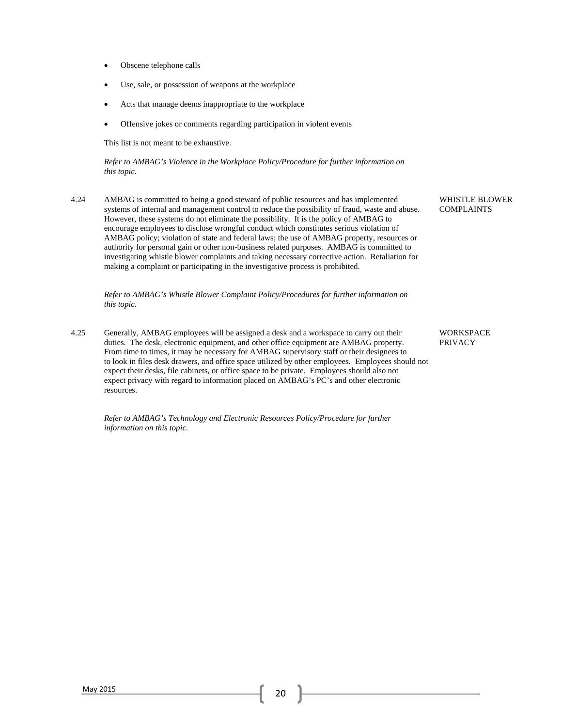- Obscene telephone calls
- Use, sale, or possession of weapons at the workplace
- Acts that manage deems inappropriate to the workplace
- Offensive jokes or comments regarding participation in violent events

This list is not meant to be exhaustive.

*Refer to AMBAG's Violence in the Workplace Policy/Procedure for further information on this topic.* 

4.24 AMBAG is committed to being a good steward of public resources and has implemented systems of internal and management control to reduce the possibility of fraud, waste and abuse. However, these systems do not eliminate the possibility. It is the policy of AMBAG to encourage employees to disclose wrongful conduct which constitutes serious violation of AMBAG policy; violation of state and federal laws; the use of AMBAG property, resources or authority for personal gain or other non-business related purposes. AMBAG is committed to investigating whistle blower complaints and taking necessary corrective action. Retaliation for making a complaint or participating in the investigative process is prohibited.

*Refer to AMBAG's Whistle Blower Complaint Policy/Procedures for further information on this topic.* 

4.25 Generally, AMBAG employees will be assigned a desk and a workspace to carry out their duties. The desk, electronic equipment, and other office equipment are AMBAG property. From time to times, it may be necessary for AMBAG supervisory staff or their designees to to look in files desk drawers, and office space utilized by other employees. Employees should not expect their desks, file cabinets, or office space to be private. Employees should also not expect privacy with regard to information placed on AMBAG's PC's and other electronic resources.

*Refer to AMBAG's Technology and Electronic Resources Policy/Procedure for further information on this topic.*

WHISTLE BLOWER COMPLAINTS

**WORKSPACE** PRIVACY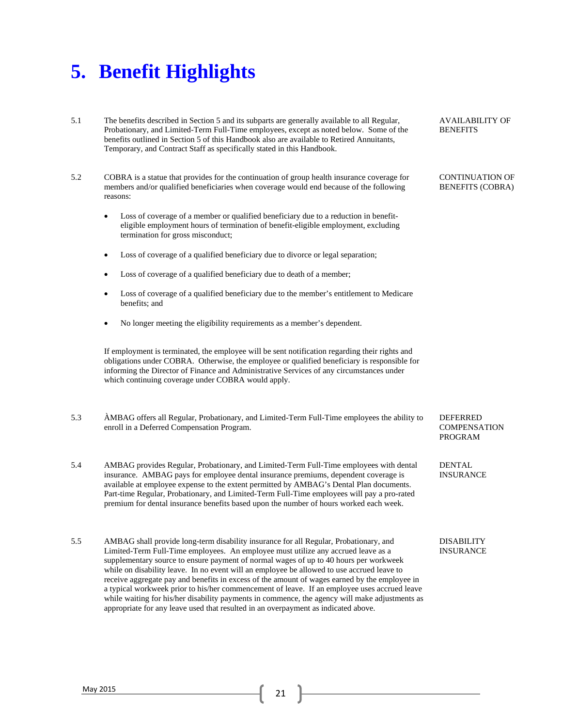### **5. Benefit Highlights**

- 5.1 The benefits described in Section 5 and its subparts are generally available to all Regular, Probationary, and Limited-Term Full-Time employees, except as noted below. Some of the benefits outlined in Section 5 of this Handbook also are available to Retired Annuitants, Temporary, and Contract Staff as specifically stated in this Handbook.
- 5.2 COBRA is a statue that provides for the continuation of group health insurance coverage for members and/or qualified beneficiaries when coverage would end because of the following reasons:
	- Loss of coverage of a member or qualified beneficiary due to a reduction in benefit eligible employment hours of termination of benefit-eligible employment, excluding termination for gross misconduct;
	- Loss of coverage of a qualified beneficiary due to divorce or legal separation;
	- Loss of coverage of a qualified beneficiary due to death of a member;
	- Loss of coverage of a qualified beneficiary due to the member's entitlement to Medicare benefits; and
	- No longer meeting the eligibility requirements as a member's dependent.

If employment is terminated, the employee will be sent notification regarding their rights and obligations under COBRA. Otherwise, the employee or qualified beneficiary is responsible for informing the Director of Finance and Administrative Services of any circumstances under which continuing coverage under COBRA would apply.

- 5.3 ÀMBAG offers all Regular, Probationary, and Limited-Term Full-Time employees the ability to enroll in a Deferred Compensation Program.
- 5.4 AMBAG provides Regular, Probationary, and Limited-Term Full-Time employees with dental insurance. AMBAG pays for employee dental insurance premiums, dependent coverage is available at employee expense to the extent permitted by AMBAG's Dental Plan documents. Part-time Regular, Probationary, and Limited-Term Full-Time employees will pay a pro-rated premium for dental insurance benefits based upon the number of hours worked each week.
- 5.5 AMBAG shall provide long-term disability insurance for all Regular, Probationary, and Limited-Term Full-Time employees. An employee must utilize any accrued leave as a supplementary source to ensure payment of normal wages of up to 40 hours per workweek while on disability leave. In no event will an employee be allowed to use accrued leave to receive aggregate pay and benefits in excess of the amount of wages earned by the employee in a typical workweek prior to his/her commencement of leave. If an employee uses accrued leave while waiting for his/her disability payments in commence, the agency will make adjustments as appropriate for any leave used that resulted in an overpayment as indicated above.

AVAILABILITY OF **BENEFITS** 

CONTINUATION OF BENEFITS (COBRA)

**DEFERRED COMPENSATION** PROGRAM

DENTAL INSURANCE

DISABILITY INSURANCE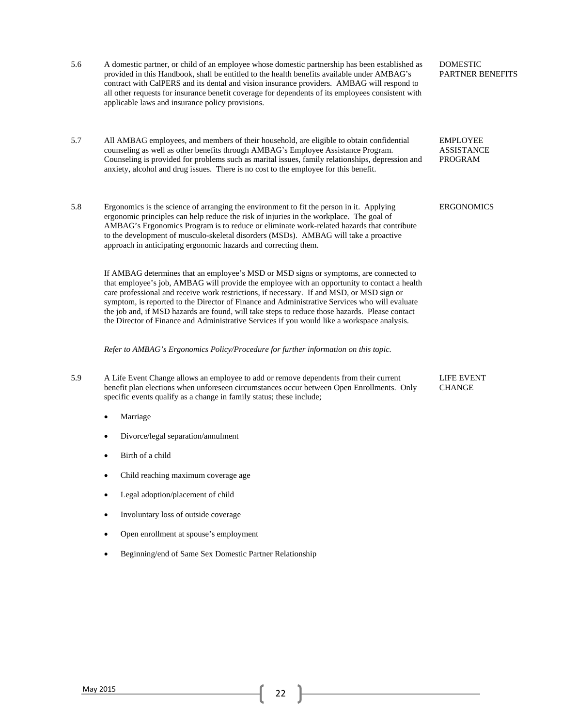| 5.6 | A domestic partner, or child of an employee whose domestic partnership has been established as<br>provided in this Handbook, shall be entitled to the health benefits available under AMBAG's<br>contract with CalPERS and its dental and vision insurance providers. AMBAG will respond to<br>all other requests for insurance benefit coverage for dependents of its employees consistent with<br>applicable laws and insurance policy provisions.                                                                                                                                 | <b>DOMESTIC</b><br><b>PARTNER BENEFITS</b>      |
|-----|--------------------------------------------------------------------------------------------------------------------------------------------------------------------------------------------------------------------------------------------------------------------------------------------------------------------------------------------------------------------------------------------------------------------------------------------------------------------------------------------------------------------------------------------------------------------------------------|-------------------------------------------------|
| 5.7 | All AMBAG employees, and members of their household, are eligible to obtain confidential<br>counseling as well as other benefits through AMBAG's Employee Assistance Program.<br>Counseling is provided for problems such as marital issues, family relationships, depression and<br>anxiety, alcohol and drug issues. There is no cost to the employee for this benefit.                                                                                                                                                                                                            | <b>EMPLOYEE</b><br><b>ASSISTANCE</b><br>PROGRAM |
| 5.8 | Ergonomics is the science of arranging the environment to fit the person in it. Applying<br>ergonomic principles can help reduce the risk of injuries in the workplace. The goal of<br>AMBAG's Ergonomics Program is to reduce or eliminate work-related hazards that contribute<br>to the development of musculo-skeletal disorders (MSDs). AMBAG will take a proactive<br>approach in anticipating ergonomic hazards and correcting them.                                                                                                                                          | <b>ERGONOMICS</b>                               |
|     | If AMBAG determines that an employee's MSD or MSD signs or symptoms, are connected to<br>that employee's job, AMBAG will provide the employee with an opportunity to contact a health<br>care professional and receive work restrictions, if necessary. If and MSD, or MSD sign or<br>symptom, is reported to the Director of Finance and Administrative Services who will evaluate<br>the job and, if MSD hazards are found, will take steps to reduce those hazards. Please contact<br>the Director of Finance and Administrative Services if you would like a workspace analysis. |                                                 |
|     | Refer to AMBAG's Ergonomics Policy/Procedure for further information on this topic.                                                                                                                                                                                                                                                                                                                                                                                                                                                                                                  |                                                 |
| 5.9 | A Life Event Change allows an employee to add or remove dependents from their current<br>benefit plan elections when unforeseen circumstances occur between Open Enrollments. Only<br>specific events qualify as a change in family status; these include;                                                                                                                                                                                                                                                                                                                           | LIFE EVENT<br><b>CHANGE</b>                     |
|     | Marriage                                                                                                                                                                                                                                                                                                                                                                                                                                                                                                                                                                             |                                                 |
|     | Divorce/legal separation/annulment                                                                                                                                                                                                                                                                                                                                                                                                                                                                                                                                                   |                                                 |
|     | Birth of a child                                                                                                                                                                                                                                                                                                                                                                                                                                                                                                                                                                     |                                                 |
|     | Child reaching maximum coverage age                                                                                                                                                                                                                                                                                                                                                                                                                                                                                                                                                  |                                                 |
|     | Legal adoption/placement of child                                                                                                                                                                                                                                                                                                                                                                                                                                                                                                                                                    |                                                 |
|     | Involuntary loss of outside coverage                                                                                                                                                                                                                                                                                                                                                                                                                                                                                                                                                 |                                                 |
|     | Open enrollment at spouse's employment                                                                                                                                                                                                                                                                                                                                                                                                                                                                                                                                               |                                                 |
|     | Beginning/end of Same Sex Domestic Partner Relationship                                                                                                                                                                                                                                                                                                                                                                                                                                                                                                                              |                                                 |
|     |                                                                                                                                                                                                                                                                                                                                                                                                                                                                                                                                                                                      |                                                 |
|     |                                                                                                                                                                                                                                                                                                                                                                                                                                                                                                                                                                                      |                                                 |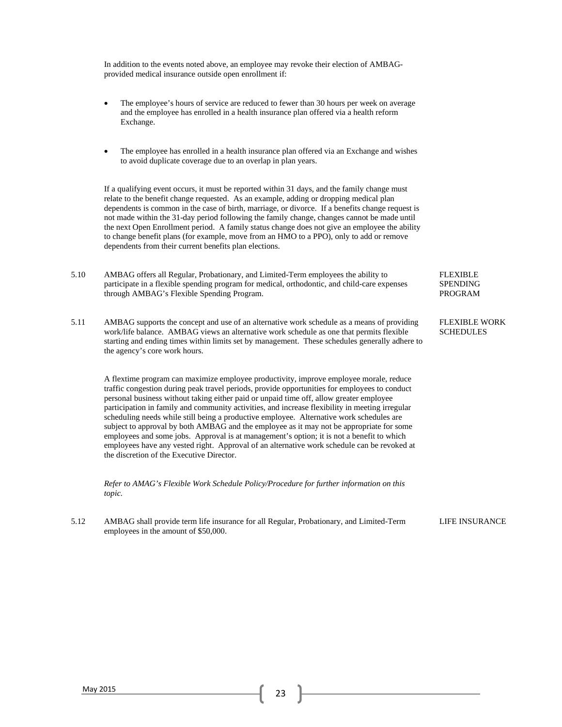In addition to the events noted above, an employee may revoke their election of AMBAGprovided medical insurance outside open enrollment if:

- The employee's hours of service are reduced to fewer than 30 hours per week on average and the employee has enrolled in a health insurance plan offered via a health reform Exchange.
- The employee has enrolled in a health insurance plan offered via an Exchange and wishes to avoid duplicate coverage due to an overlap in plan years.

If a qualifying event occurs, it must be reported within 31 days, and the family change must relate to the benefit change requested. As an example, adding or dropping medical plan dependents is common in the case of birth, marriage, or divorce. If a benefits change request is not made within the 31-day period following the family change, changes cannot be made until the next Open Enrollment period. A family status change does not give an employee the ability to change benefit plans (for example, move from an HMO to a PPO), only to add or remove dependents from their current benefits plan elections.

- 5.10 AMBAG offers all Regular, Probationary, and Limited-Term employees the ability to participate in a flexible spending program for medical, orthodontic, and child-care expenses through AMBAG's Flexible Spending Program.
- 5.11 AMBAG supports the concept and use of an alternative work schedule as a means of providing work/life balance. AMBAG views an alternative work schedule as one that permits flexible starting and ending times within limits set by management. These schedules generally adhere to the agency's core work hours.

A flextime program can maximize employee productivity, improve employee morale, reduce traffic congestion during peak travel periods, provide opportunities for employees to conduct personal business without taking either paid or unpaid time off, allow greater employee participation in family and community activities, and increase flexibility in meeting irregular scheduling needs while still being a productive employee. Alternative work schedules are subject to approval by both AMBAG and the employee as it may not be appropriate for some employees and some jobs. Approval is at management's option; it is not a benefit to which employees have any vested right. Approval of an alternative work schedule can be revoked at the discretion of the Executive Director.

*Refer to AMAG's Flexible Work Schedule Policy/Procedure for further information on this topic.* 

5.12 AMBAG shall provide term life insurance for all Regular, Probationary, and Limited-Term employees in the amount of \$50,000.

FLEXIBLE SPENDING PROGRAM

FLEXIBLE WORK **SCHEDULES** 

LIFE INSURANCE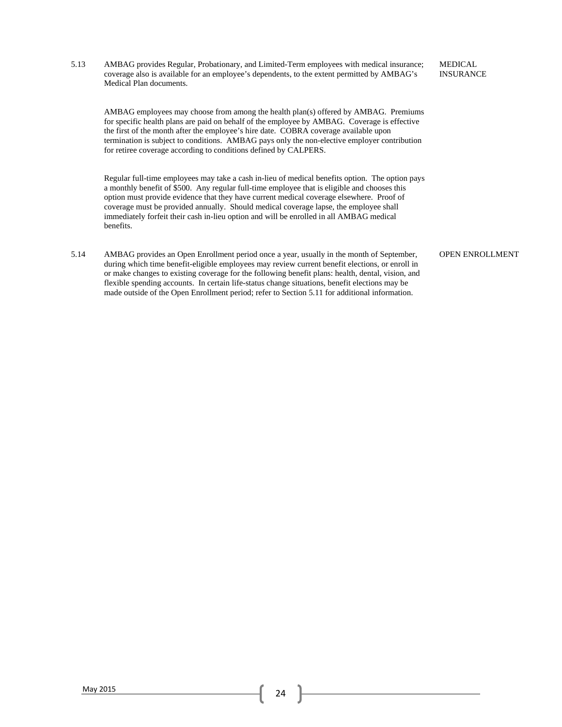5.13 AMBAG provides Regular, Probationary, and Limited-Term employees with medical insurance; coverage also is available for an employee's dependents, to the extent permitted by AMBAG's Medical Plan documents.

AMBAG employees may choose from among the health plan(s) offered by AMBAG. Premiums for specific health plans are paid on behalf of the employee by AMBAG. Coverage is effective the first of the month after the employee's hire date. COBRA coverage available upon termination is subject to conditions. AMBAG pays only the non-elective employer contribution for retiree coverage according to conditions defined by CALPERS.

Regular full-time employees may take a cash in-lieu of medical benefits option. The option pays a monthly benefit of \$500. Any regular full-time employee that is eligible and chooses this option must provide evidence that they have current medical coverage elsewhere. Proof of coverage must be provided annually. Should medical coverage lapse, the employee shall immediately forfeit their cash in-lieu option and will be enrolled in all AMBAG medical benefits.

5.14 AMBAG provides an Open Enrollment period once a year, usually in the month of September, during which time benefit-eligible employees may review current benefit elections, or enroll in or make changes to existing coverage for the following benefit plans: health, dental, vision, and flexible spending accounts. In certain life-status change situations, benefit elections may be made outside of the Open Enrollment period; refer to Section 5.11 for additional information.

OPEN ENROLLMENT

MEDICAL INSURANCE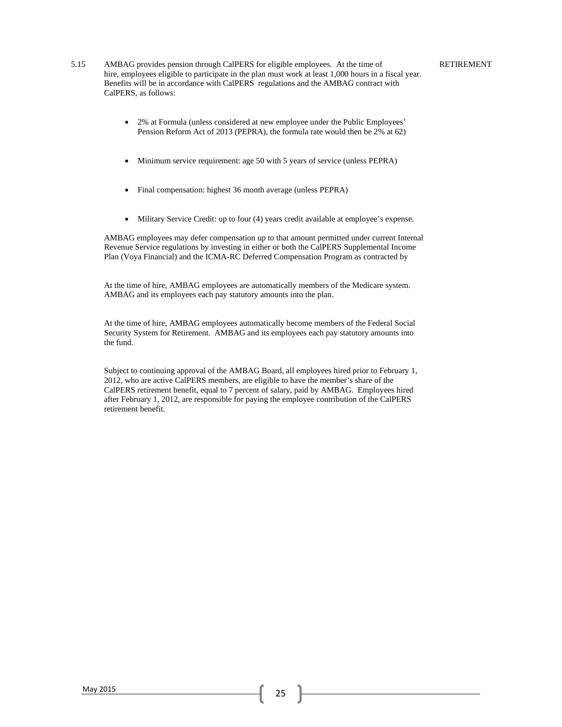- 5.15 AMBAG provides pension through CalPERS for eligible employees. At the time of hire, employees eligible to participate in the plan must work at least 1,000 hours in a fiscal year. Benefits will be in accordance with CalPERS regulations and the AMBAG contract with CalPERS, as follows:
	- 2% at Formula (unless considered at new employee under the Public Employees' Pension Reform Act of 2013 (PEPRA), the formula rate would then be 2% at 62)
	- Minimum service requirement: age 50 with 5 years of service (unless PEPRA)
	- Final compensation: highest 36 month average (unless PEPRA)
	- Military Service Credit: up to four (4) years credit available at employee's expense.

AMBAG employees may defer compensation up to that amount permitted under current Internal Revenue Service regulations by investing in either or both the CalPERS Supplemental Income Plan (Voya Financial) and the ICMA-RC Deferred Compensation Program as contracted by

At the time of hire, AMBAG employees are automatically members of the Medicare system. AMBAG and its employees each pay statutory amounts into the plan.

At the time of hire, AMBAG employees automatically become members of the Federal Social Security System for Retirement. AMBAG and its employees each pay statutory amounts into the fund.

Subject to continuing approval of the AMBAG Board, all employees hired prior to February 1, 2012, who are active CalPERS members, are eligible to have the member's share of the CalPERS retirement benefit, equal to 7 percent of salary, paid by AMBAG. Employees hired after February 1, 2012, are responsible for paying the employee contribution of the CalPERS retirement benefit.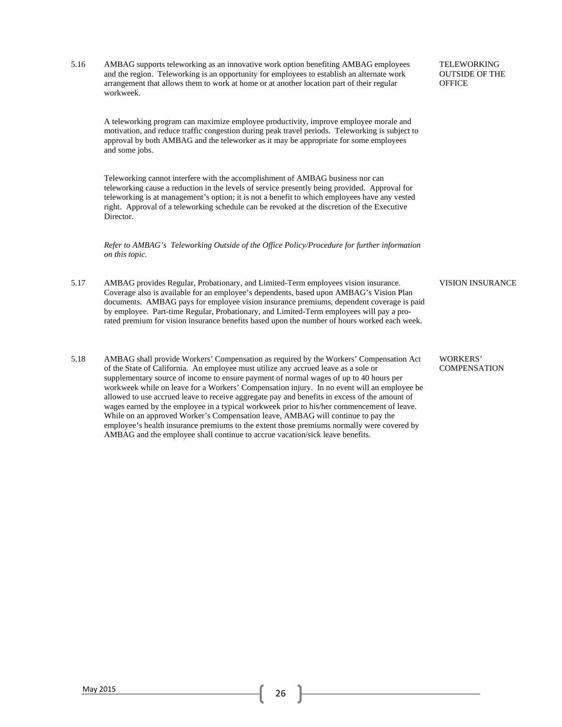5.16 AMBAG supports teleworking as an innovative work option benefiting AMBAG employees and the region. Teleworking is an opportunity for employees to establish an alternate work arrangement that allows them to work at home or at another location part of their regular workweek.

A teleworking program can maximize employee productivity, improve employee morale and motivation, and reduce traffic congestion during peak travel periods. Teleworking is subject to approval by both AMBAG and the teleworker as it may be appropriate for some employees and some jobs.

Teleworking cannot interfere with the accomplishment of AMBAG business nor can teleworking cause a reduction in the levels of service presently being provided. Approval for teleworking is at management's option; it is not a benefit to which employees have any vested right. Approval of a teleworking schedule can be revoked at the discretion of the Executive Director.

*Refer to AMBAG's Teleworking Outside of the Office Policy/Procedure for further information on this topic.* 

- 5.17 AMBAG provides Regular, Probationary, and Limited-Term employees vision insurance. Coverage also is available for an employee's dependents, based upon AMBAG's Vision Plan documents. AMBAG pays for employee vision insurance premiums, dependent coverage is paid by employee. Part-time Regular, Probationary, and Limited-Term employees will pay a prorated premium for vision insurance benefits based upon the number of hours worked each week.
- 5.18 AMBAG shall provide Workers' Compensation as required by the Workers' Compensation Act of the State of California. An employee must utilize any accrued leave as a sole or supplementary source of income to ensure payment of normal wages of up to 40 hours per workweek while on leave for a Workers' Compensation injury. In no event will an employee be allowed to use accrued leave to receive aggregate pay and benefits in excess of the amount of wages earned by the employee in a typical workweek prior to his/her commencement of leave. While on an approved Worker's Compensation leave, AMBAG will continue to pay the employee's health insurance premiums to the extent those premiums normally were covered by AMBAG and the employee shall continue to accrue vacation/sick leave benefits.

TELEWORKING OUTSIDE OF THE **OFFICE** 

### VISION INSURANCE

WORKERS' **COMPENSATION**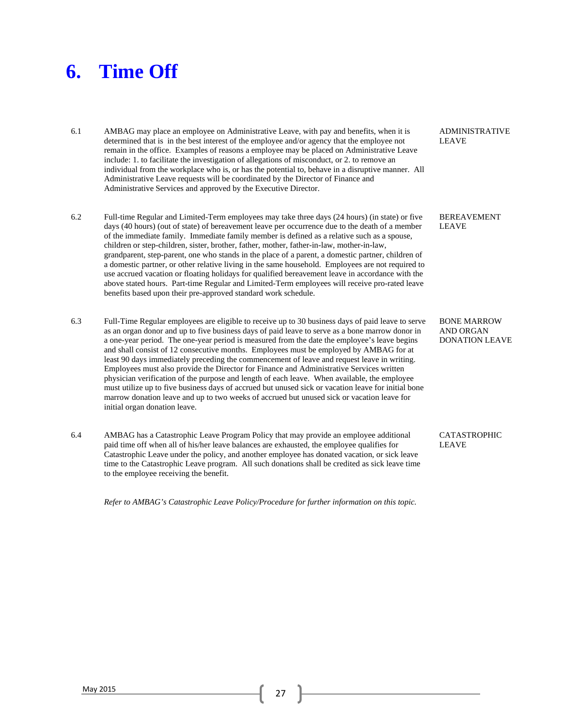### **6. Time Off**

- 6.1 AMBAG may place an employee on Administrative Leave, with pay and benefits, when it is determined that is in the best interest of the employee and/or agency that the employee not remain in the office. Examples of reasons a employee may be placed on Administrative Leave include: 1. to facilitate the investigation of allegations of misconduct, or 2. to remove an individual from the workplace who is, or has the potential to, behave in a disruptive manner. All Administrative Leave requests will be coordinated by the Director of Finance and Administrative Services and approved by the Executive Director.
- 6.2 Full-time Regular and Limited-Term employees may take three days (24 hours) (in state) or five days (40 hours) (out of state) of bereavement leave per occurrence due to the death of a member of the immediate family. Immediate family member is defined as a relative such as a spouse, children or step-children, sister, brother, father, mother, father-in-law, mother-in-law, grandparent, step-parent, one who stands in the place of a parent, a domestic partner, children of a domestic partner, or other relative living in the same household. Employees are not required to use accrued vacation or floating holidays for qualified bereavement leave in accordance with the above stated hours. Part-time Regular and Limited-Term employees will receive pro-rated leave benefits based upon their pre-approved standard work schedule.
- 6.3 Full-Time Regular employees are eligible to receive up to 30 business days of paid leave to serve as an organ donor and up to five business days of paid leave to serve as a bone marrow donor in a one-year period. The one-year period is measured from the date the employee's leave begins and shall consist of 12 consecutive months. Employees must be employed by AMBAG for at least 90 days immediately preceding the commencement of leave and request leave in writing. Employees must also provide the Director for Finance and Administrative Services written physician verification of the purpose and length of each leave. When available, the employee must utilize up to five business days of accrued but unused sick or vacation leave for initial bone marrow donation leave and up to two weeks of accrued but unused sick or vacation leave for initial organ donation leave.
- 6.4 AMBAG has a Catastrophic Leave Program Policy that may provide an employee additional paid time off when all of his/her leave balances are exhausted, the employee qualifies for Catastrophic Leave under the policy, and another employee has donated vacation, or sick leave time to the Catastrophic Leave program. All such donations shall be credited as sick leave time to the employee receiving the benefit.

*Refer to AMBAG's Catastrophic Leave Policy/Procedure for further information on this topic.*

ADMINISTRATIVE LEAVE

BEREAVEMENT LEAVE

BONE MARROW AND ORGAN DONATION LEAVE

CATASTROPHIC LEAVE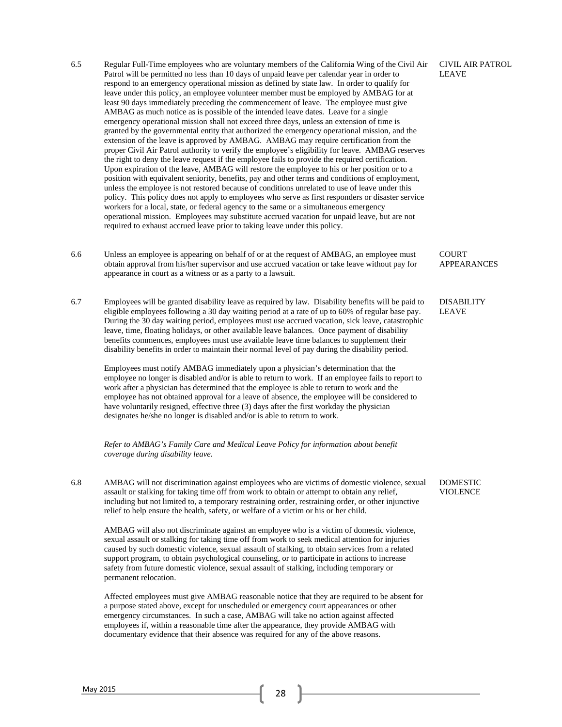- 6.5 Regular Full-Time employees who are voluntary members of the California Wing of the Civil Air Patrol will be permitted no less than 10 days of unpaid leave per calendar year in order to respond to an emergency operational mission as defined by state law. In order to qualify for leave under this policy, an employee volunteer member must be employed by AMBAG for at least 90 days immediately preceding the commencement of leave. The employee must give AMBAG as much notice as is possible of the intended leave dates. Leave for a single emergency operational mission shall not exceed three days, unless an extension of time is granted by the governmental entity that authorized the emergency operational mission, and the extension of the leave is approved by AMBAG. AMBAG may require certification from the proper Civil Air Patrol authority to verify the employee's eligibility for leave. AMBAG reserves the right to deny the leave request if the employee fails to provide the required certification. Upon expiration of the leave, AMBAG will restore the employee to his or her position or to a position with equivalent seniority, benefits, pay and other terms and conditions of employment, unless the employee is not restored because of conditions unrelated to use of leave under this policy. This policy does not apply to employees who serve as first responders or disaster service workers for a local, state, or federal agency to the same or a simultaneous emergency operational mission. Employees may substitute accrued vacation for unpaid leave, but are not required to exhaust accrued leave prior to taking leave under this policy. CIVIL AIR PATROL LEAVE
- 6.6 Unless an employee is appearing on behalf of or at the request of AMBAG, an employee must obtain approval from his/her supervisor and use accrued vacation or take leave without pay for appearance in court as a witness or as a party to a lawsuit.

COURT

APPEARANCES

6.7 Employees will be granted disability leave as required by law. Disability benefits will be paid to eligible employees following a 30 day waiting period at a rate of up to 60% of regular base pay. During the 30 day waiting period, employees must use accrued vacation, sick leave, catastrophic leave, time, floating holidays, or other available leave balances. Once payment of disability benefits commences, employees must use available leave time balances to supplement their disability benefits in order to maintain their normal level of pay during the disability period. DISABILITY LEAVE

Employees must notify AMBAG immediately upon a physician's determination that the employee no longer is disabled and/or is able to return to work. If an employee fails to report to work after a physician has determined that the employee is able to return to work and the employee has not obtained approval for a leave of absence, the employee will be considered to have voluntarily resigned, effective three (3) days after the first workday the physician designates he/she no longer is disabled and/or is able to return to work.

*Refer to AMBAG's Family Care and Medical Leave Policy for information about benefit coverage during disability leave.* 

6.8 AMBAG will not discrimination against employees who are victims of domestic violence, sexual assault or stalking for taking time off from work to obtain or attempt to obtain any relief, including but not limited to, a temporary restraining order, restraining order, or other injunctive relief to help ensure the health, safety, or welfare of a victim or his or her child. DOMESTIC VIOLENCE

AMBAG will also not discriminate against an employee who is a victim of domestic violence, sexual assault or stalking for taking time off from work to seek medical attention for injuries caused by such domestic violence, sexual assault of stalking, to obtain services from a related support program, to obtain psychological counseling, or to participate in actions to increase safety from future domestic violence, sexual assault of stalking, including temporary or permanent relocation.

Affected employees must give AMBAG reasonable notice that they are required to be absent for a purpose stated above, except for unscheduled or emergency court appearances or other emergency circumstances. In such a case, AMBAG will take no action against affected employees if, within a reasonable time after the appearance, they provide AMBAG with documentary evidence that their absence was required for any of the above reasons.

May 2015 28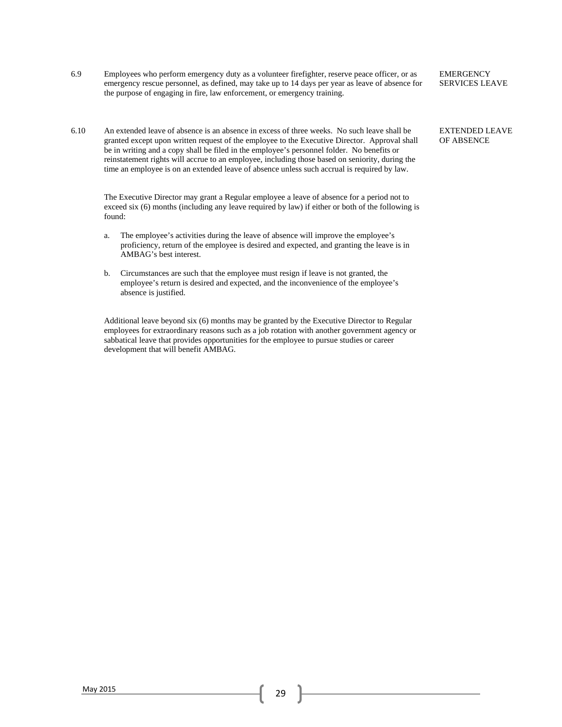- 6.9 Employees who perform emergency duty as a volunteer firefighter, reserve peace officer, or as emergency rescue personnel, as defined, may take up to 14 days per year as leave of absence for the purpose of engaging in fire, law enforcement, or emergency training.
- 6.10 An extended leave of absence is an absence in excess of three weeks. No such leave shall be granted except upon written request of the employee to the Executive Director. Approval shall be in writing and a copy shall be filed in the employee's personnel folder. No benefits or reinstatement rights will accrue to an employee, including those based on seniority, during the time an employee is on an extended leave of absence unless such accrual is required by law.

The Executive Director may grant a Regular employee a leave of absence for a period not to exceed six (6) months (including any leave required by law) if either or both of the following is found:

- a. The employee's activities during the leave of absence will improve the employee's proficiency, return of the employee is desired and expected, and granting the leave is in AMBAG's best interest.
- b. Circumstances are such that the employee must resign if leave is not granted, the employee's return is desired and expected, and the inconvenience of the employee's absence is justified.

Additional leave beyond six (6) months may be granted by the Executive Director to Regular employees for extraordinary reasons such as a job rotation with another government agency or sabbatical leave that provides opportunities for the employee to pursue studies or career development that will benefit AMBAG.

**EMERGENCY** SERVICES LEAVE

### EXTENDED LEAVE OF ABSENCE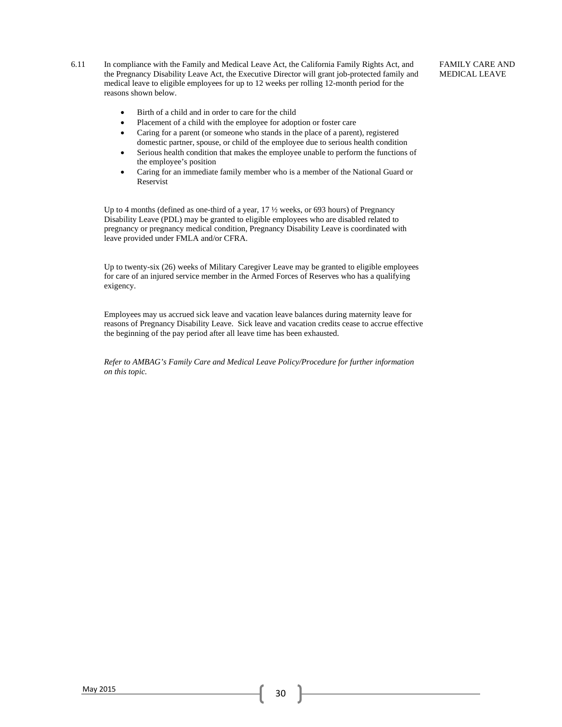6.11 In compliance with the Family and Medical Leave Act, the California Family Rights Act, and the Pregnancy Disability Leave Act, the Executive Director will grant job-protected family and medical leave to eligible employees for up to 12 weeks per rolling 12-month period for the reasons shown below.

### FAMILY CARE AND MEDICAL LEAVE

- Birth of a child and in order to care for the child
- Placement of a child with the employee for adoption or foster care
- Caring for a parent (or someone who stands in the place of a parent), registered domestic partner, spouse, or child of the employee due to serious health condition
- Serious health condition that makes the employee unable to perform the functions of the employee's position
- Caring for an immediate family member who is a member of the National Guard or Reservist

Up to 4 months (defined as one-third of a year, 17 ½ weeks, or 693 hours) of Pregnancy Disability Leave (PDL) may be granted to eligible employees who are disabled related to pregnancy or pregnancy medical condition, Pregnancy Disability Leave is coordinated with leave provided under FMLA and/or CFRA.

Up to twenty-six (26) weeks of Military Caregiver Leave may be granted to eligible employees for care of an injured service member in the Armed Forces of Reserves who has a qualifying exigency.

Employees may us accrued sick leave and vacation leave balances during maternity leave for reasons of Pregnancy Disability Leave. Sick leave and vacation credits cease to accrue effective the beginning of the pay period after all leave time has been exhausted.

*Refer to AMBAG's Family Care and Medical Leave Policy/Procedure for further information on this topic.*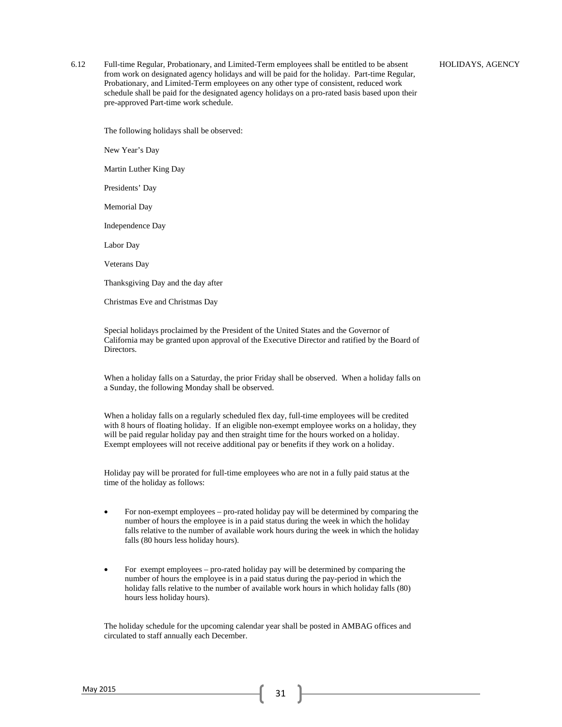6.12 Full-time Regular, Probationary, and Limited-Term employees shall be entitled to be absent from work on designated agency holidays and will be paid for the holiday. Part-time Regular, Probationary, and Limited-Term employees on any other type of consistent, reduced work schedule shall be paid for the designated agency holidays on a pro-rated basis based upon their pre-approved Part-time work schedule.

The following holidays shall be observed:

New Year's Day

Martin Luther King Day

Presidents' Day

Memorial Day

Independence Day

Labor Day

Veterans Day

Thanksgiving Day and the day after

Christmas Eve and Christmas Day

Special holidays proclaimed by the President of the United States and the Governor of California may be granted upon approval of the Executive Director and ratified by the Board of Directors.

When a holiday falls on a Saturday, the prior Friday shall be observed. When a holiday falls on a Sunday, the following Monday shall be observed.

When a holiday falls on a regularly scheduled flex day, full-time employees will be credited with 8 hours of floating holiday. If an eligible non-exempt employee works on a holiday, they will be paid regular holiday pay and then straight time for the hours worked on a holiday. Exempt employees will not receive additional pay or benefits if they work on a holiday.

Holiday pay will be prorated for full-time employees who are not in a fully paid status at the time of the holiday as follows:

- For non-exempt employees pro-rated holiday pay will be determined by comparing the number of hours the employee is in a paid status during the week in which the holiday falls relative to the number of available work hours during the week in which the holiday falls (80 hours less holiday hours).
- For exempt employees pro-rated holiday pay will be determined by comparing the number of hours the employee is in a paid status during the pay-period in which the holiday falls relative to the number of available work hours in which holiday falls (80) hours less holiday hours).

The holiday schedule for the upcoming calendar year shall be posted in AMBAG offices and circulated to staff annually each December.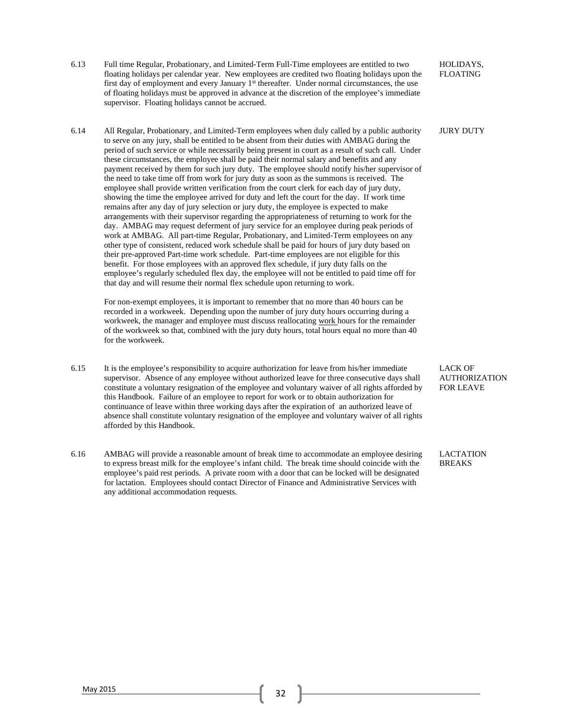- 6.13 Full time Regular, Probationary, and Limited-Term Full-Time employees are entitled to two floating holidays per calendar year. New employees are credited two floating holidays upon the first day of employment and every January 1<sup>st</sup> thereafter. Under normal circumstances, the use of floating holidays must be approved in advance at the discretion of the employee's immediate supervisor. Floating holidays cannot be accrued. HOLIDAYS, FLOATING
- 6.14 All Regular, Probationary, and Limited-Term employees when duly called by a public authority to serve on any jury, shall be entitled to be absent from their duties with AMBAG during the period of such service or while necessarily being present in court as a result of such call. Under these circumstances, the employee shall be paid their normal salary and benefits and any payment received by them for such jury duty. The employee should notify his/her supervisor of the need to take time off from work for jury duty as soon as the summons is received. The employee shall provide written verification from the court clerk for each day of jury duty, showing the time the employee arrived for duty and left the court for the day. If work time remains after any day of jury selection or jury duty, the employee is expected to make arrangements with their supervisor regarding the appropriateness of returning to work for the day. AMBAG may request deferment of jury service for an employee during peak periods of work at AMBAG. All part-time Regular, Probationary, and Limited-Term employees on any other type of consistent, reduced work schedule shall be paid for hours of jury duty based on their pre-approved Part-time work schedule. Part-time employees are not eligible for this benefit. For those employees with an approved flex schedule, if jury duty falls on the employee's regularly scheduled flex day, the employee will not be entitled to paid time off for that day and will resume their normal flex schedule upon returning to work.

For non-exempt employees, it is important to remember that no more than 40 hours can be recorded in a workweek. Depending upon the number of jury duty hours occurring during a workweek, the manager and employee must discuss reallocating work hours for the remainder of the workweek so that, combined with the jury duty hours, total hours equal no more than 40 for the workweek.

- 6.15 It is the employee's responsibility to acquire authorization for leave from his/her immediate supervisor. Absence of any employee without authorized leave for three consecutive days shall constitute a voluntary resignation of the employee and voluntary waiver of all rights afforded by this Handbook. Failure of an employee to report for work or to obtain authorization for continuance of leave within three working days after the expiration of an authorized leave of absence shall constitute voluntary resignation of the employee and voluntary waiver of all rights afforded by this Handbook.
- 6.16 AMBAG will provide a reasonable amount of break time to accommodate an employee desiring to express breast milk for the employee's infant child. The break time should coincide with the employee's paid rest periods. A private room with a door that can be locked will be designated for lactation. Employees should contact Director of Finance and Administrative Services with any additional accommodation requests.

LACK OF AUTHORIZATION FOR LEAVE

JURY DUTY

LACTATION BREAKS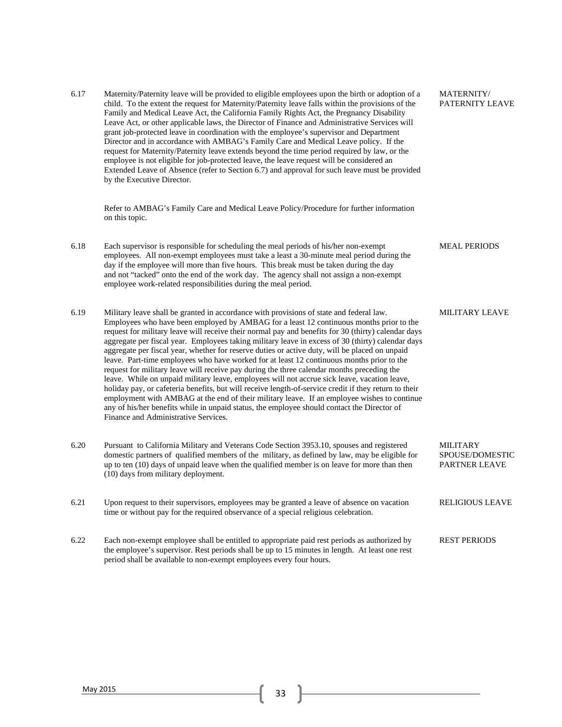6.17 Maternity/Paternity leave will be provided to eligible employees upon the birth or adoption of a child. To the extent the request for Maternity/Paternity leave falls within the provisions of the Family and Medical Leave Act, the California Family Rights Act, the Pregnancy Disability Leave Act, or other applicable laws, the Director of Finance and Administrative Services will grant job-protected leave in coordination with the employee's supervisor and Department Director and in accordance with AMBAG's Family Care and Medical Leave policy. If the request for Maternity/Paternity leave extends beyond the time period required by law, or the employee is not eligible for job-protected leave, the leave request will be considered an Extended Leave of Absence (refer to Section 6.7) and approval for such leave must be provided by the Executive Director.

MATERNITY/ PATERNITY LEAVE

MEAL PERIODS

MILITARY LEAVE

RELIGIOUS LEAVE

Refer to AMBAG's Family Care and Medical Leave Policy/Procedure for further information on this topic.

- 6.18 Each supervisor is responsible for scheduling the meal periods of his/her non-exempt employees. All non-exempt employees must take a least a 30-minute meal period during the day if the employee will more than five hours. This break must be taken during the day and not "tacked" onto the end of the work day. The agency shall not assign a non-exempt employee work-related responsibilities during the meal period.
- 6.19 Military leave shall be granted in accordance with provisions of state and federal law. Employees who have been employed by AMBAG for a least 12 continuous months prior to the request for military leave will receive their normal pay and benefits for 30 (thirty) calendar days aggregate per fiscal year. Employees taking military leave in excess of 30 (thirty) calendar days aggregate per fiscal year, whether for reserve duties or active duty, will be placed on unpaid leave. Part-time employees who have worked for at least 12 continuous months prior to the request for military leave will receive pay during the three calendar months preceding the leave. While on unpaid military leave, employees will not accrue sick leave, vacation leave, holiday pay, or cafeteria benefits, but will receive length-of-service credit if they return to their employment with AMBAG at the end of their military leave. If an employee wishes to continue any of his/her benefits while in unpaid status, the employee should contact the Director of Finance and Administrative Services.
- 6.20 Pursuant to California Military and Veterans Code Section 3953.10, spouses and registered domestic partners of qualified members of the military, as defined by law, may be eligible for up to ten (10) days of unpaid leave when the qualified member is on leave for more than then (10) days from military deployment. MILITARY SPOUSE/DOMESTIC PARTNER LEAVE
- 6.21 Upon request to their supervisors, employees may be granted a leave of absence on vacation time or without pay for the required observance of a special religious celebration.
- 6.22 Each non-exempt employee shall be entitled to appropriate paid rest periods as authorized by the employee's supervisor. Rest periods shall be up to 15 minutes in length. At least one rest period shall be available to non-exempt employees every four hours. REST PERIODS

May 2015 33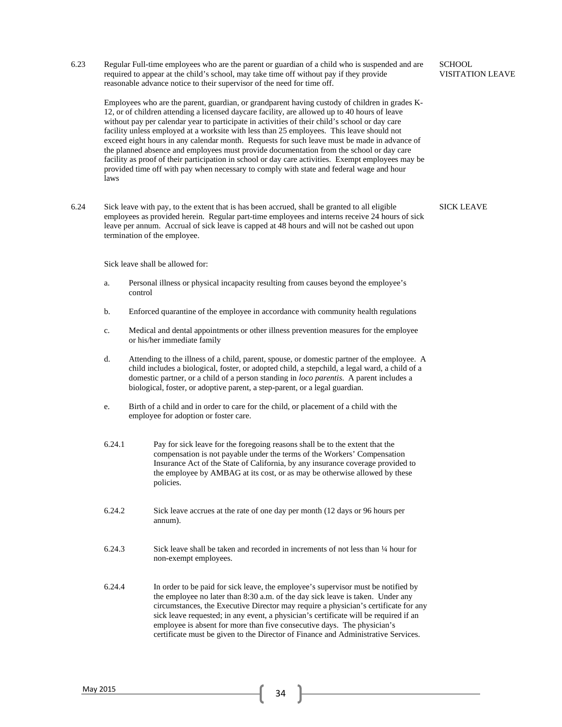6.23 Regular Full-time employees who are the parent or guardian of a child who is suspended and are required to appear at the child's school, may take time off without pay if they provide reasonable advance notice to their supervisor of the need for time off.

Employees who are the parent, guardian, or grandparent having custody of children in grades K-12, or of children attending a licensed daycare facility, are allowed up to 40 hours of leave without pay per calendar year to participate in activities of their child's school or day care facility unless employed at a worksite with less than 25 employees. This leave should not exceed eight hours in any calendar month. Requests for such leave must be made in advance of the planned absence and employees must provide documentation from the school or day care facility as proof of their participation in school or day care activities. Exempt employees may be provided time off with pay when necessary to comply with state and federal wage and hour laws

6.24 Sick leave with pay, to the extent that is has been accrued, shall be granted to all eligible employees as provided herein. Regular part-time employees and interns receive 24 hours of sick leave per annum. Accrual of sick leave is capped at 48 hours and will not be cashed out upon termination of the employee.

SICK LEAVE

Sick leave shall be allowed for:

- a. Personal illness or physical incapacity resulting from causes beyond the employee's control
- b. Enforced quarantine of the employee in accordance with community health regulations
- c. Medical and dental appointments or other illness prevention measures for the employee or his/her immediate family
- d. Attending to the illness of a child, parent, spouse, or domestic partner of the employee. A child includes a biological, foster, or adopted child, a stepchild, a legal ward, a child of a domestic partner, or a child of a person standing in *loco parentis*. A parent includes a biological, foster, or adoptive parent, a step-parent, or a legal guardian.
- e. Birth of a child and in order to care for the child, or placement of a child with the employee for adoption or foster care.
- 6.24.1 Pay for sick leave for the foregoing reasons shall be to the extent that the compensation is not payable under the terms of the Workers' Compensation Insurance Act of the State of California, by any insurance coverage provided to the employee by AMBAG at its cost, or as may be otherwise allowed by these policies.
- 6.24.2 Sick leave accrues at the rate of one day per month (12 days or 96 hours per annum).
- 6.24.3 Sick leave shall be taken and recorded in increments of not less than ¼ hour for non-exempt employees.
- 6.24.4 In order to be paid for sick leave, the employee's supervisor must be notified by the employee no later than 8:30 a.m. of the day sick leave is taken. Under any circumstances, the Executive Director may require a physician's certificate for any sick leave requested; in any event, a physician's certificate will be required if an employee is absent for more than five consecutive days. The physician's certificate must be given to the Director of Finance and Administrative Services.

**SCHOOL** VISITATION LEAVE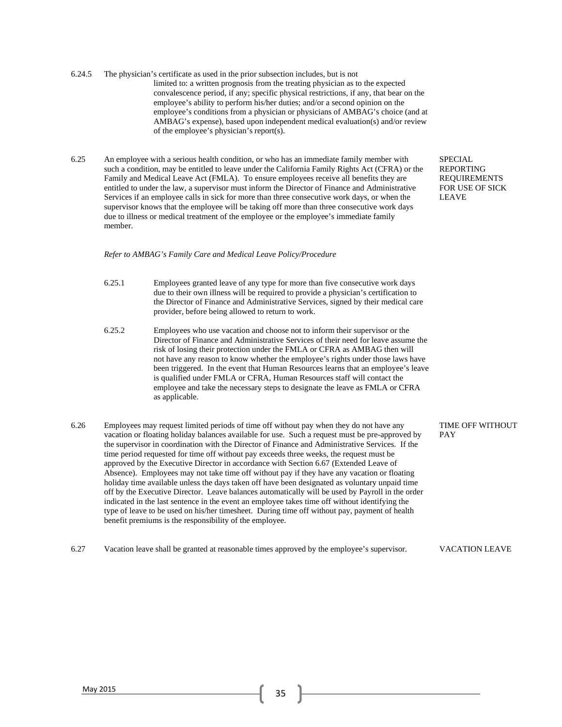- 6.24.5 The physician's certificate as used in the prior subsection includes, but is not limited to: a written prognosis from the treating physician as to the expected convalescence period, if any; specific physical restrictions, if any, that bear on the employee's ability to perform his/her duties; and/or a second opinion on the employee's conditions from a physician or physicians of AMBAG's choice (and at AMBAG's expense), based upon independent medical evaluation(s) and/or review of the employee's physician's report(s).
- 6.25 An employee with a serious health condition, or who has an immediate family member with such a condition, may be entitled to leave under the California Family Rights Act (CFRA) or the Family and Medical Leave Act (FMLA). To ensure employees receive all benefits they are entitled to under the law, a supervisor must inform the Director of Finance and Administrative Services if an employee calls in sick for more than three consecutive work days, or when the supervisor knows that the employee will be taking off more than three consecutive work days due to illness or medical treatment of the employee or the employee's immediate family member.

SPECIAL REPORTING REQUIREMENTS FOR USE OF SICK LEAVE

### *Refer to AMBAG's Family Care and Medical Leave Policy/Procedure*

- 6.25.1 Employees granted leave of any type for more than five consecutive work days due to their own illness will be required to provide a physician's certification to the Director of Finance and Administrative Services, signed by their medical care provider, before being allowed to return to work.
- 6.25.2 Employees who use vacation and choose not to inform their supervisor or the Director of Finance and Administrative Services of their need for leave assume the risk of losing their protection under the FMLA or CFRA as AMBAG then will not have any reason to know whether the employee's rights under those laws have been triggered. In the event that Human Resources learns that an employee's leave is qualified under FMLA or CFRA, Human Resources staff will contact the employee and take the necessary steps to designate the leave as FMLA or CFRA as applicable.
- 6.26 Employees may request limited periods of time off without pay when they do not have any vacation or floating holiday balances available for use. Such a request must be pre-approved by the supervisor in coordination with the Director of Finance and Administrative Services. If the time period requested for time off without pay exceeds three weeks, the request must be approved by the Executive Director in accordance with Section 6.67 (Extended Leave of Absence). Employees may not take time off without pay if they have any vacation or floating holiday time available unless the days taken off have been designated as voluntary unpaid time off by the Executive Director. Leave balances automatically will be used by Payroll in the order indicated in the last sentence in the event an employee takes time off without identifying the type of leave to be used on his/her timesheet. During time off without pay, payment of health benefit premiums is the responsibility of the employee.
- 6.27 Vacation leave shall be granted at reasonable times approved by the employee's supervisor. VACATION LEAVE

TIME OFF WITHOUT PAY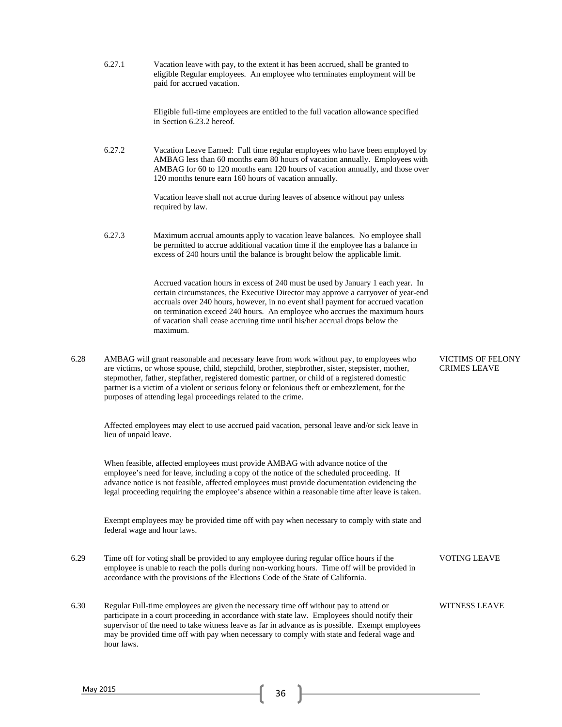| 6.27.1 | Vacation leave with pay, to the extent it has been accrued, shall be granted to |
|--------|---------------------------------------------------------------------------------|
|        | eligible Regular employees. An employee who terminates employment will be       |
|        | paid for accrued vacation.                                                      |

Eligible full-time employees are entitled to the full vacation allowance specified in Section 6.23.2 hereof.

6.27.2 Vacation Leave Earned: Full time regular employees who have been employed by AMBAG less than 60 months earn 80 hours of vacation annually. Employees with AMBAG for 60 to 120 months earn 120 hours of vacation annually, and those over 120 months tenure earn 160 hours of vacation annually.

> Vacation leave shall not accrue during leaves of absence without pay unless required by law.

6.27.3 Maximum accrual amounts apply to vacation leave balances. No employee shall be permitted to accrue additional vacation time if the employee has a balance in excess of 240 hours until the balance is brought below the applicable limit.

> Accrued vacation hours in excess of 240 must be used by January 1 each year. In certain circumstances, the Executive Director may approve a carryover of year-end accruals over 240 hours, however, in no event shall payment for accrued vacation on termination exceed 240 hours. An employee who accrues the maximum hours of vacation shall cease accruing time until his/her accrual drops below the maximum.

6.28 AMBAG will grant reasonable and necessary leave from work without pay, to employees who are victims, or whose spouse, child, stepchild, brother, stepbrother, sister, stepsister, mother, stepmother, father, stepfather, registered domestic partner, or child of a registered domestic partner is a victim of a violent or serious felony or felonious theft or embezzlement, for the purposes of attending legal proceedings related to the crime.

Affected employees may elect to use accrued paid vacation, personal leave and/or sick leave in lieu of unpaid leave.

When feasible, affected employees must provide AMBAG with advance notice of the employee's need for leave, including a copy of the notice of the scheduled proceeding. If advance notice is not feasible, affected employees must provide documentation evidencing the legal proceeding requiring the employee's absence within a reasonable time after leave is taken.

Exempt employees may be provided time off with pay when necessary to comply with state and federal wage and hour laws.

- 6.29 Time off for voting shall be provided to any employee during regular office hours if the employee is unable to reach the polls during non-working hours. Time off will be provided in accordance with the provisions of the Elections Code of the State of California.
- 6.30 Regular Full-time employees are given the necessary time off without pay to attend or participate in a court proceeding in accordance with state law. Employees should notify their supervisor of the need to take witness leave as far in advance as is possible. Exempt employees may be provided time off with pay when necessary to comply with state and federal wage and hour laws.

VICTIMS OF FELONY CRIMES LEAVE

VOTING LEAVE

WITNESS LEAVE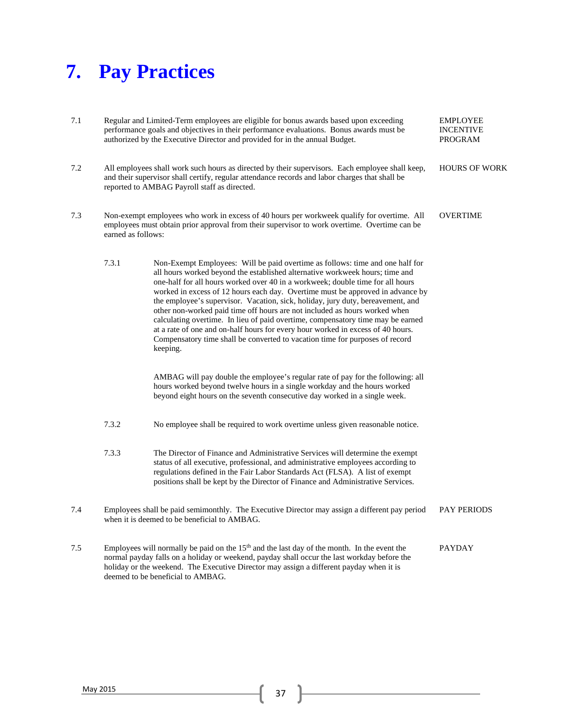# **7. Pay Practices**

| 7.1 |                    | Regular and Limited-Term employees are eligible for bonus awards based upon exceeding<br>performance goals and objectives in their performance evaluations. Bonus awards must be<br>authorized by the Executive Director and provided for in the annual Budget.                                                                                                                                                                                                                                                                                                                                                                                                                                                                                                      | <b>EMPLOYEE</b><br><b>INCENTIVE</b><br><b>PROGRAM</b> |
|-----|--------------------|----------------------------------------------------------------------------------------------------------------------------------------------------------------------------------------------------------------------------------------------------------------------------------------------------------------------------------------------------------------------------------------------------------------------------------------------------------------------------------------------------------------------------------------------------------------------------------------------------------------------------------------------------------------------------------------------------------------------------------------------------------------------|-------------------------------------------------------|
| 7.2 |                    | All employees shall work such hours as directed by their supervisors. Each employee shall keep,<br>and their supervisor shall certify, regular attendance records and labor charges that shall be<br>reported to AMBAG Payroll staff as directed.                                                                                                                                                                                                                                                                                                                                                                                                                                                                                                                    | <b>HOURS OF WORK</b>                                  |
| 7.3 | earned as follows: | Non-exempt employees who work in excess of 40 hours per workweek qualify for overtime. All<br>employees must obtain prior approval from their supervisor to work overtime. Overtime can be                                                                                                                                                                                                                                                                                                                                                                                                                                                                                                                                                                           | <b>OVERTIME</b>                                       |
|     | 7.3.1              | Non-Exempt Employees: Will be paid overtime as follows: time and one half for<br>all hours worked beyond the established alternative workweek hours; time and<br>one-half for all hours worked over 40 in a workweek; double time for all hours<br>worked in excess of 12 hours each day. Overtime must be approved in advance by<br>the employee's supervisor. Vacation, sick, holiday, jury duty, bereavement, and<br>other non-worked paid time off hours are not included as hours worked when<br>calculating overtime. In lieu of paid overtime, compensatory time may be earned<br>at a rate of one and on-half hours for every hour worked in excess of 40 hours.<br>Compensatory time shall be converted to vacation time for purposes of record<br>keeping. |                                                       |
|     |                    | AMBAG will pay double the employee's regular rate of pay for the following: all<br>hours worked beyond twelve hours in a single workday and the hours worked<br>beyond eight hours on the seventh consecutive day worked in a single week.                                                                                                                                                                                                                                                                                                                                                                                                                                                                                                                           |                                                       |
|     | 7.3.2              | No employee shall be required to work overtime unless given reasonable notice.                                                                                                                                                                                                                                                                                                                                                                                                                                                                                                                                                                                                                                                                                       |                                                       |
|     | 7.3.3              | The Director of Finance and Administrative Services will determine the exempt<br>status of all executive, professional, and administrative employees according to<br>regulations defined in the Fair Labor Standards Act (FLSA). A list of exempt<br>positions shall be kept by the Director of Finance and Administrative Services.                                                                                                                                                                                                                                                                                                                                                                                                                                 |                                                       |
| 7.4 |                    | Employees shall be paid semimonthly. The Executive Director may assign a different pay period<br>when it is deemed to be beneficial to AMBAG.                                                                                                                                                                                                                                                                                                                                                                                                                                                                                                                                                                                                                        | <b>PAY PERIODS</b>                                    |
| 7.5 |                    | Employees will normally be paid on the 15 <sup>th</sup> and the last day of the month. In the event the<br>normal payday falls on a holiday or weekend, payday shall occur the last workday before the<br>holiday or the weekend. The Executive Director may assign a different payday when it is<br>deemed to be beneficial to AMBAG.                                                                                                                                                                                                                                                                                                                                                                                                                               | <b>PAYDAY</b>                                         |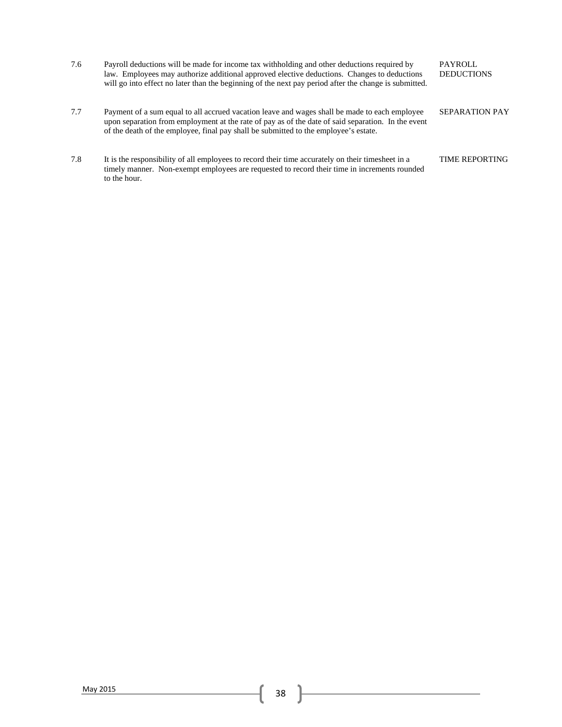| 7.6 | Payroll deductions will be made for income tax withholding and other deductions required by<br>law. Employees may authorize additional approved elective deductions. Changes to deductions<br>will go into effect no later than the beginning of the next pay period after the change is submitted. | <b>PAYROLL</b><br><b>DEDUCTIONS</b> |
|-----|-----------------------------------------------------------------------------------------------------------------------------------------------------------------------------------------------------------------------------------------------------------------------------------------------------|-------------------------------------|
| 7.7 | Payment of a sum equal to all accrued vacation leave and wages shall be made to each employee<br>upon separation from employment at the rate of pay as of the date of said separation. In the event<br>of the death of the employee, final pay shall be submitted to the employee's estate.         | <b>SEPARATION PAY</b>               |
| 7.8 | It is the responsibility of all employees to record their time accurately on their timesheet in a<br>timely manner. Non-exempt employees are requested to record their time in increments rounded<br>to the hour.                                                                                   | <b>TIME REPORTING</b>               |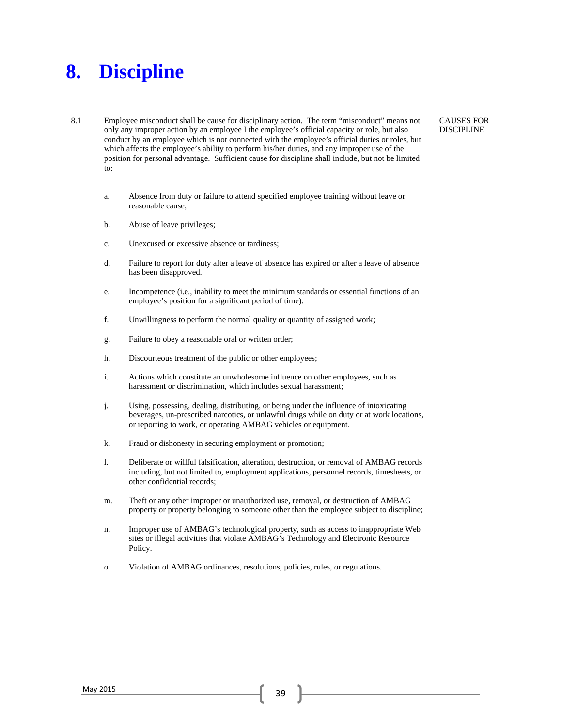### **8. Discipline**

8.1 Employee misconduct shall be cause for disciplinary action. The term "misconduct" means not only any improper action by an employee I the employee's official capacity or role, but also conduct by an employee which is not connected with the employee's official duties or roles, but which affects the employee's ability to perform his/her duties, and any improper use of the position for personal advantage. Sufficient cause for discipline shall include, but not be limited to:

CAUSES FOR DISCIPLINE

- a. Absence from duty or failure to attend specified employee training without leave or reasonable cause;
- b. Abuse of leave privileges;
- c. Unexcused or excessive absence or tardiness;
- d. Failure to report for duty after a leave of absence has expired or after a leave of absence has been disapproved.
- e. Incompetence (i.e., inability to meet the minimum standards or essential functions of an employee's position for a significant period of time).
- f. Unwillingness to perform the normal quality or quantity of assigned work;
- g. Failure to obey a reasonable oral or written order;
- h. Discourteous treatment of the public or other employees;
- i. Actions which constitute an unwholesome influence on other employees, such as harassment or discrimination, which includes sexual harassment;
- j. Using, possessing, dealing, distributing, or being under the influence of intoxicating beverages, un-prescribed narcotics, or unlawful drugs while on duty or at work locations, or reporting to work, or operating AMBAG vehicles or equipment.
- k. Fraud or dishonesty in securing employment or promotion;
- l. Deliberate or willful falsification, alteration, destruction, or removal of AMBAG records including, but not limited to, employment applications, personnel records, timesheets, or other confidential records;
- m. Theft or any other improper or unauthorized use, removal, or destruction of AMBAG property or property belonging to someone other than the employee subject to discipline;
- n. Improper use of AMBAG's technological property, such as access to inappropriate Web sites or illegal activities that violate AMBAG's Technology and Electronic Resource Policy.
- o. Violation of AMBAG ordinances, resolutions, policies, rules, or regulations.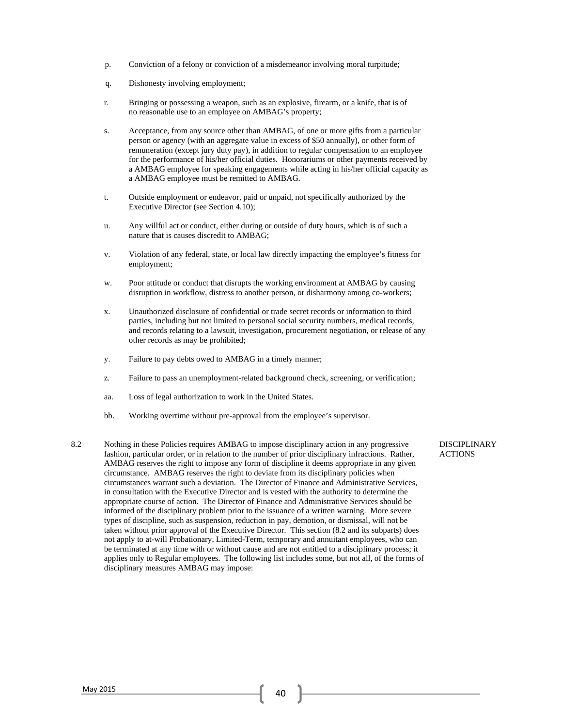- p. Conviction of a felony or conviction of a misdemeanor involving moral turpitude;
- q. Dishonesty involving employment;
- r. Bringing or possessing a weapon, such as an explosive, firearm, or a knife, that is of no reasonable use to an employee on AMBAG's property;
- s. Acceptance, from any source other than AMBAG, of one or more gifts from a particular person or agency (with an aggregate value in excess of \$50 annually), or other form of remuneration (except jury duty pay), in addition to regular compensation to an employee for the performance of his/her official duties. Honorariums or other payments received by a AMBAG employee for speaking engagements while acting in his/her official capacity as a AMBAG employee must be remitted to AMBAG.
- t. Outside employment or endeavor, paid or unpaid, not specifically authorized by the Executive Director (see Section 4.10);
- u. Any willful act or conduct, either during or outside of duty hours, which is of such a nature that is causes discredit to AMBAG;
- v. Violation of any federal, state, or local law directly impacting the employee's fitness for employment;
- w. Poor attitude or conduct that disrupts the working environment at AMBAG by causing disruption in workflow, distress to another person, or disharmony among co-workers;
- x. Unauthorized disclosure of confidential or trade secret records or information to third parties, including but not limited to personal social security numbers, medical records, and records relating to a lawsuit, investigation, procurement negotiation, or release of any other records as may be prohibited;
- y. Failure to pay debts owed to AMBAG in a timely manner;
- z. Failure to pass an unemployment-related background check, screening, or verification;
- aa. Loss of legal authorization to work in the United States.
- bb. Working overtime without pre-approval from the employee's supervisor.
- 8.2 Nothing in these Policies requires AMBAG to impose disciplinary action in any progressive fashion, particular order, or in relation to the number of prior disciplinary infractions. Rather, AMBAG reserves the right to impose any form of discipline it deems appropriate in any given circumstance. AMBAG reserves the right to deviate from its disciplinary policies when circumstances warrant such a deviation. The Director of Finance and Administrative Services, in consultation with the Executive Director and is vested with the authority to determine the appropriate course of action. The Director of Finance and Administrative Services should be informed of the disciplinary problem prior to the issuance of a written warning. More severe types of discipline, such as suspension, reduction in pay, demotion, or dismissal, will not be taken without prior approval of the Executive Director. This section (8.2 and its subparts) does not apply to at-will Probationary, Limited-Term, temporary and annuitant employees, who can be terminated at any time with or without cause and are not entitled to a disciplinary process; it applies only to Regular employees. The following list includes some, but not all, of the forms of disciplinary measures AMBAG may impose:

DISCIPLINARY **ACTIONS**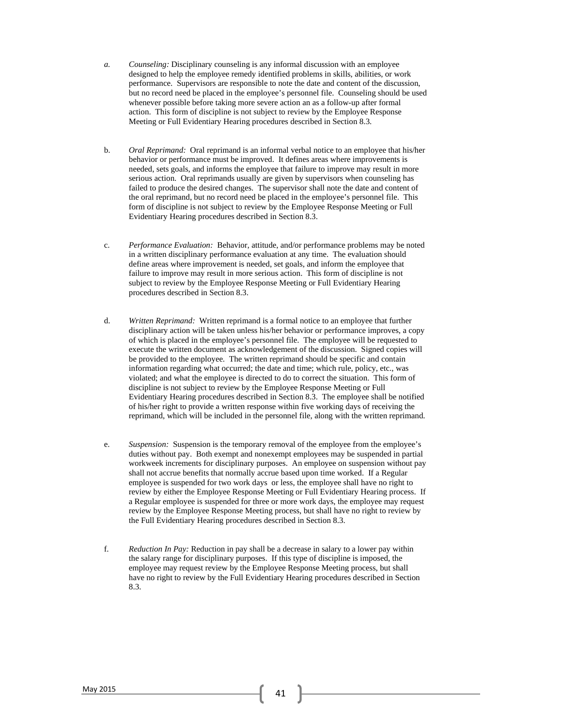- *a. Counseling:* Disciplinary counseling is any informal discussion with an employee designed to help the employee remedy identified problems in skills, abilities, or work performance. Supervisors are responsible to note the date and content of the discussion, but no record need be placed in the employee's personnel file. Counseling should be used whenever possible before taking more severe action an as a follow-up after formal action. This form of discipline is not subject to review by the Employee Response Meeting or Full Evidentiary Hearing procedures described in Section 8.3.
- b. *Oral Reprimand:* Oral reprimand is an informal verbal notice to an employee that his/her behavior or performance must be improved. It defines areas where improvements is needed, sets goals, and informs the employee that failure to improve may result in more serious action. Oral reprimands usually are given by supervisors when counseling has failed to produce the desired changes. The supervisor shall note the date and content of the oral reprimand, but no record need be placed in the employee's personnel file. This form of discipline is not subject to review by the Employee Response Meeting or Full Evidentiary Hearing procedures described in Section 8.3.
- c. *Performance Evaluation:* Behavior, attitude, and/or performance problems may be noted in a written disciplinary performance evaluation at any time. The evaluation should define areas where improvement is needed, set goals, and inform the employee that failure to improve may result in more serious action. This form of discipline is not subject to review by the Employee Response Meeting or Full Evidentiary Hearing procedures described in Section 8.3.
- d. *Written Reprimand:* Written reprimand is a formal notice to an employee that further disciplinary action will be taken unless his/her behavior or performance improves, a copy of which is placed in the employee's personnel file. The employee will be requested to execute the written document as acknowledgement of the discussion. Signed copies will be provided to the employee. The written reprimand should be specific and contain information regarding what occurred; the date and time; which rule, policy, etc., was violated; and what the employee is directed to do to correct the situation. This form of discipline is not subject to review by the Employee Response Meeting or Full Evidentiary Hearing procedures described in Section 8.3. The employee shall be notified of his/her right to provide a written response within five working days of receiving the reprimand, which will be included in the personnel file, along with the written reprimand.
- e. *Suspension:* Suspension is the temporary removal of the employee from the employee's duties without pay. Both exempt and nonexempt employees may be suspended in partial workweek increments for disciplinary purposes. An employee on suspension without pay shall not accrue benefits that normally accrue based upon time worked. If a Regular employee is suspended for two work days or less, the employee shall have no right to review by either the Employee Response Meeting or Full Evidentiary Hearing process. If a Regular employee is suspended for three or more work days, the employee may request review by the Employee Response Meeting process, but shall have no right to review by the Full Evidentiary Hearing procedures described in Section 8.3.
- f. *Reduction In Pay:* Reduction in pay shall be a decrease in salary to a lower pay within the salary range for disciplinary purposes. If this type of discipline is imposed, the employee may request review by the Employee Response Meeting process, but shall have no right to review by the Full Evidentiary Hearing procedures described in Section 8.3.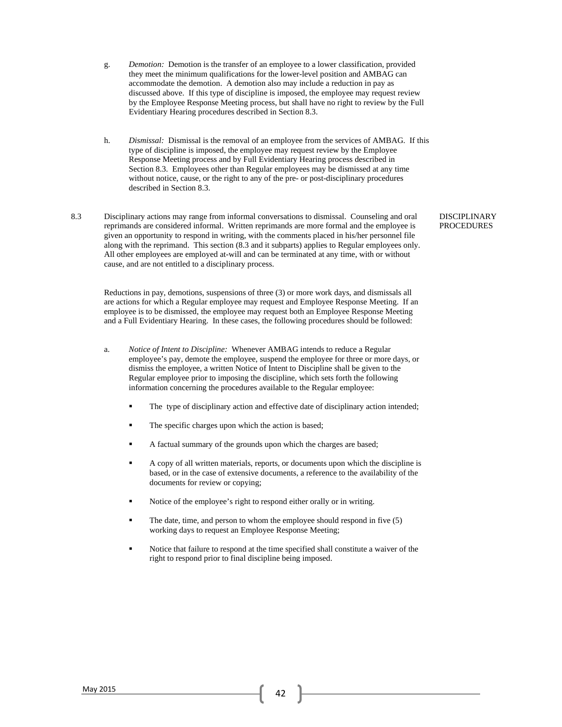- g. *Demotion:* Demotion is the transfer of an employee to a lower classification, provided they meet the minimum qualifications for the lower-level position and AMBAG can accommodate the demotion. A demotion also may include a reduction in pay as discussed above. If this type of discipline is imposed, the employee may request review by the Employee Response Meeting process, but shall have no right to review by the Full Evidentiary Hearing procedures described in Section 8.3.
- h. *Dismissal:* Dismissal is the removal of an employee from the services of AMBAG. If this type of discipline is imposed, the employee may request review by the Employee Response Meeting process and by Full Evidentiary Hearing process described in Section 8.3. Employees other than Regular employees may be dismissed at any time without notice, cause, or the right to any of the pre- or post-disciplinary procedures described in Section 8.3.
- 8.3 Disciplinary actions may range from informal conversations to dismissal. Counseling and oral reprimands are considered informal. Written reprimands are more formal and the employee is given an opportunity to respond in writing, with the comments placed in his/her personnel file along with the reprimand. This section (8.3 and it subparts) applies to Regular employees only. All other employees are employed at-will and can be terminated at any time, with or without cause, and are not entitled to a disciplinary process.

Reductions in pay, demotions, suspensions of three (3) or more work days, and dismissals all are actions for which a Regular employee may request and Employee Response Meeting. If an employee is to be dismissed, the employee may request both an Employee Response Meeting and a Full Evidentiary Hearing. In these cases, the following procedures should be followed:

- a. *Notice of Intent to Discipline:* Whenever AMBAG intends to reduce a Regular employee's pay, demote the employee, suspend the employee for three or more days, or dismiss the employee, a written Notice of Intent to Discipline shall be given to the Regular employee prior to imposing the discipline, which sets forth the following information concerning the procedures available to the Regular employee:
	- The type of disciplinary action and effective date of disciplinary action intended;
	- The specific charges upon which the action is based;
	- A factual summary of the grounds upon which the charges are based;
	- A copy of all written materials, reports, or documents upon which the discipline is based, or in the case of extensive documents, a reference to the availability of the documents for review or copying;
	- Notice of the employee's right to respond either orally or in writing.
	- The date, time, and person to whom the employee should respond in five (5) working days to request an Employee Response Meeting;
	- Notice that failure to respond at the time specified shall constitute a waiver of the right to respond prior to final discipline being imposed.

DISCIPLINARY PROCEDURES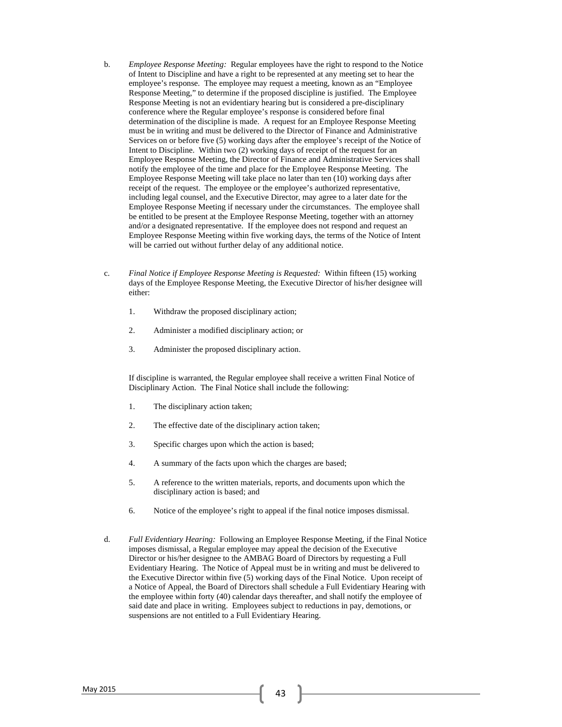- b. *Employee Response Meeting:* Regular employees have the right to respond to the Notice of Intent to Discipline and have a right to be represented at any meeting set to hear the employee's response. The employee may request a meeting, known as an "Employee Response Meeting," to determine if the proposed discipline is justified. The Employee Response Meeting is not an evidentiary hearing but is considered a pre-disciplinary conference where the Regular employee's response is considered before final determination of the discipline is made. A request for an Employee Response Meeting must be in writing and must be delivered to the Director of Finance and Administrative Services on or before five (5) working days after the employee's receipt of the Notice of Intent to Discipline. Within two (2) working days of receipt of the request for an Employee Response Meeting, the Director of Finance and Administrative Services shall notify the employee of the time and place for the Employee Response Meeting. The Employee Response Meeting will take place no later than ten (10) working days after receipt of the request. The employee or the employee's authorized representative, including legal counsel, and the Executive Director, may agree to a later date for the Employee Response Meeting if necessary under the circumstances. The employee shall be entitled to be present at the Employee Response Meeting, together with an attorney and/or a designated representative. If the employee does not respond and request an Employee Response Meeting within five working days, the terms of the Notice of Intent will be carried out without further delay of any additional notice.
- c. *Final Notice if Employee Response Meeting is Requested:* Within fifteen (15) working days of the Employee Response Meeting, the Executive Director of his/her designee will either:
	- 1. Withdraw the proposed disciplinary action;
	- 2. Administer a modified disciplinary action; or
	- 3. Administer the proposed disciplinary action.

If discipline is warranted, the Regular employee shall receive a written Final Notice of Disciplinary Action. The Final Notice shall include the following:

- 1. The disciplinary action taken;
- 2. The effective date of the disciplinary action taken;
- 3. Specific charges upon which the action is based;
- 4. A summary of the facts upon which the charges are based;
- 5. A reference to the written materials, reports, and documents upon which the disciplinary action is based; and
- 6. Notice of the employee's right to appeal if the final notice imposes dismissal.
- d. *Full Evidentiary Hearing:* Following an Employee Response Meeting, if the Final Notice imposes dismissal, a Regular employee may appeal the decision of the Executive Director or his/her designee to the AMBAG Board of Directors by requesting a Full Evidentiary Hearing. The Notice of Appeal must be in writing and must be delivered to the Executive Director within five (5) working days of the Final Notice. Upon receipt of a Notice of Appeal, the Board of Directors shall schedule a Full Evidentiary Hearing with the employee within forty (40) calendar days thereafter, and shall notify the employee of said date and place in writing. Employees subject to reductions in pay, demotions, or suspensions are not entitled to a Full Evidentiary Hearing.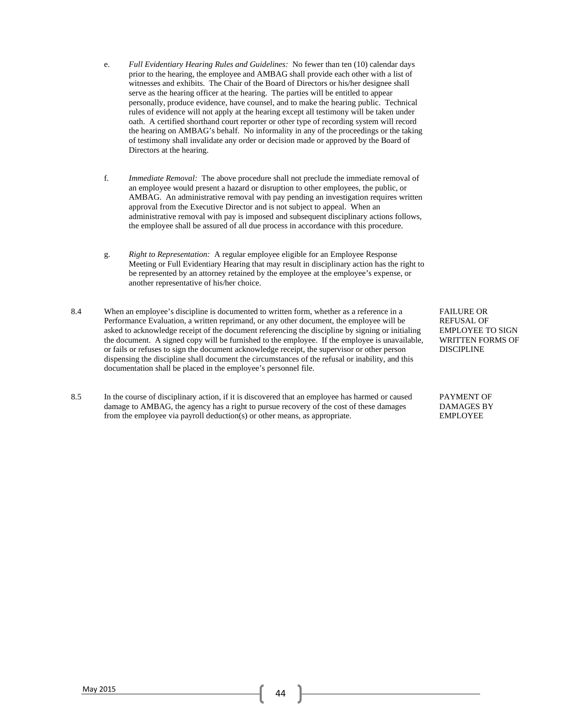- e. *Full Evidentiary Hearing Rules and Guidelines:* No fewer than ten (10) calendar days prior to the hearing, the employee and AMBAG shall provide each other with a list of witnesses and exhibits. The Chair of the Board of Directors or his/her designee shall serve as the hearing officer at the hearing. The parties will be entitled to appear personally, produce evidence, have counsel, and to make the hearing public. Technical rules of evidence will not apply at the hearing except all testimony will be taken under oath. A certified shorthand court reporter or other type of recording system will record the hearing on AMBAG's behalf. No informality in any of the proceedings or the taking of testimony shall invalidate any order or decision made or approved by the Board of Directors at the hearing.
- f. *Immediate Removal:* The above procedure shall not preclude the immediate removal of an employee would present a hazard or disruption to other employees, the public, or AMBAG. An administrative removal with pay pending an investigation requires written approval from the Executive Director and is not subject to appeal. When an administrative removal with pay is imposed and subsequent disciplinary actions follows, the employee shall be assured of all due process in accordance with this procedure.
- g. *Right to Representation:* A regular employee eligible for an Employee Response Meeting or Full Evidentiary Hearing that may result in disciplinary action has the right to be represented by an attorney retained by the employee at the employee's expense, or another representative of his/her choice.
- 8.4 When an employee's discipline is documented to written form, whether as a reference in a Performance Evaluation, a written reprimand, or any other document, the employee will be asked to acknowledge receipt of the document referencing the discipline by signing or initialing the document. A signed copy will be furnished to the employee. If the employee is unavailable, or fails or refuses to sign the document acknowledge receipt, the supervisor or other person dispensing the discipline shall document the circumstances of the refusal or inability, and this documentation shall be placed in the employee's personnel file.
- 8.5 In the course of disciplinary action, if it is discovered that an employee has harmed or caused damage to AMBAG, the agency has a right to pursue recovery of the cost of these damages from the employee via payroll deduction(s) or other means, as appropriate.

FAILURE OR REFUSAL OF EMPLOYEE TO SIGN WRITTEN FORMS OF DISCIPLINE

PAYMENT OF DAMAGES BY EMPLOYEE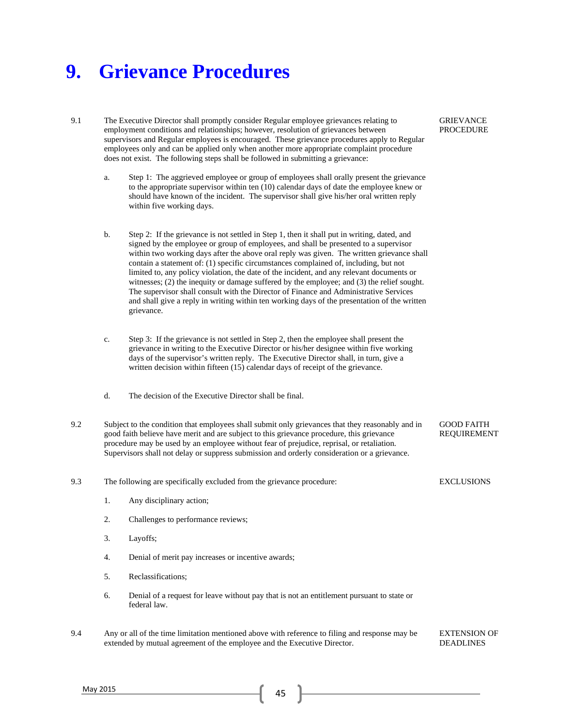### **9. Grievance Procedures**

- 9.1 The Executive Director shall promptly consider Regular employee grievances relating to employment conditions and relationships; however, resolution of grievances between supervisors and Regular employees is encouraged. These grievance procedures apply to Regular employees only and can be applied only when another more appropriate complaint procedure does not exist. The following steps shall be followed in submitting a grievance:
	- a. Step 1: The aggrieved employee or group of employees shall orally present the grievance to the appropriate supervisor within ten (10) calendar days of date the employee knew or should have known of the incident. The supervisor shall give his/her oral written reply within five working days.
	- b. Step 2: If the grievance is not settled in Step 1, then it shall put in writing, dated, and signed by the employee or group of employees, and shall be presented to a supervisor within two working days after the above oral reply was given. The written grievance shall contain a statement of: (1) specific circumstances complained of, including, but not limited to, any policy violation, the date of the incident, and any relevant documents or witnesses; (2) the inequity or damage suffered by the employee; and (3) the relief sought. The supervisor shall consult with the Director of Finance and Administrative Services and shall give a reply in writing within ten working days of the presentation of the written grievance.
	- c. Step 3: If the grievance is not settled in Step 2, then the employee shall present the grievance in writing to the Executive Director or his/her designee within five working days of the supervisor's written reply. The Executive Director shall, in turn, give a written decision within fifteen (15) calendar days of receipt of the grievance.
	- d. The decision of the Executive Director shall be final.
- 9.2 Subject to the condition that employees shall submit only grievances that they reasonably and in good faith believe have merit and are subject to this grievance procedure, this grievance procedure may be used by an employee without fear of prejudice, reprisal, or retaliation. Supervisors shall not delay or suppress submission and orderly consideration or a grievance. GOOD FAITH REQUIREMENT

9.3 The following are specifically excluded from the grievance procedure:

- 1. Any disciplinary action;
- 2. Challenges to performance reviews;
- 3. Layoffs;
- 4. Denial of merit pay increases or incentive awards;
- 5. Reclassifications;
- 6. Denial of a request for leave without pay that is not an entitlement pursuant to state or federal law.
- 9.4 Any or all of the time limitation mentioned above with reference to filing and response may be extended by mutual agreement of the employee and the Executive Director. EXTENSION OF DEADLINES

GRIEVANCE PROCEDURE

**EXCLUSIONS** 

May 2015 **45** 45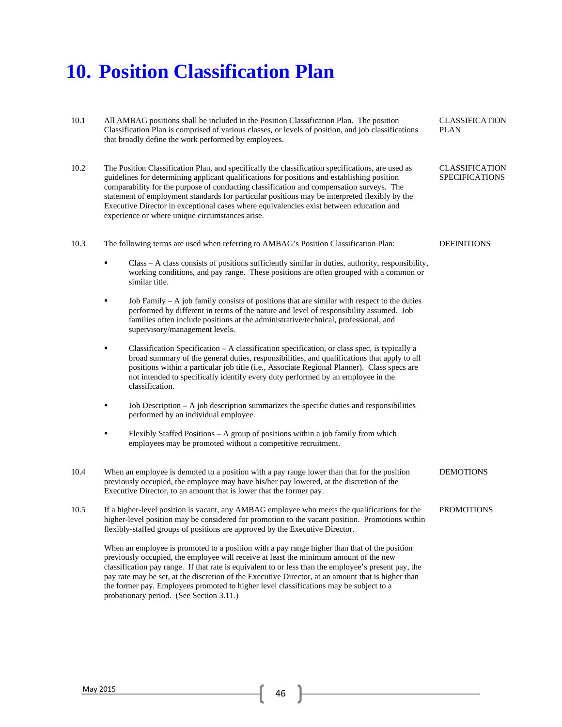## **10. Position Classification Plan**

| 10.1 | All AMBAG positions shall be included in the Position Classification Plan. The position<br>Classification Plan is comprised of various classes, or levels of position, and job classifications<br>that broadly define the work performed by employees.                                                                                                                                                                                                                                                                                      | <b>CLASSIFICATION</b><br><b>PLAN</b>           |
|------|---------------------------------------------------------------------------------------------------------------------------------------------------------------------------------------------------------------------------------------------------------------------------------------------------------------------------------------------------------------------------------------------------------------------------------------------------------------------------------------------------------------------------------------------|------------------------------------------------|
| 10.2 | The Position Classification Plan, and specifically the classification specifications, are used as<br>guidelines for determining applicant qualifications for positions and establishing position<br>comparability for the purpose of conducting classification and compensation surveys. The<br>statement of employment standards for particular positions may be interpreted flexibly by the<br>Executive Director in exceptional cases where equivalencies exist between education and<br>experience or where unique circumstances arise. | <b>CLASSIFICATION</b><br><b>SPECIFICATIONS</b> |
| 10.3 | The following terms are used when referring to AMBAG's Position Classification Plan:                                                                                                                                                                                                                                                                                                                                                                                                                                                        | <b>DEFINITIONS</b>                             |
|      | Class - A class consists of positions sufficiently similar in duties, authority, responsibility,<br>٠<br>working conditions, and pay range. These positions are often grouped with a common or<br>similar title.                                                                                                                                                                                                                                                                                                                            |                                                |
|      | Job Family $-A$ job family consists of positions that are similar with respect to the duties<br>٠<br>performed by different in terms of the nature and level of responsibility assumed. Job<br>families often include positions at the administrative/technical, professional, and<br>supervisory/management levels.                                                                                                                                                                                                                        |                                                |
|      | Classification Specification $- A$ classification specification, or class spec, is typically a<br>٠<br>broad summary of the general duties, responsibilities, and qualifications that apply to all<br>positions within a particular job title (i.e., Associate Regional Planner). Class specs are<br>not intended to specifically identify every duty performed by an employee in the<br>classification.                                                                                                                                    |                                                |
|      | Job Description $-A$ job description summarizes the specific duties and responsibilities<br>٠<br>performed by an individual employee.                                                                                                                                                                                                                                                                                                                                                                                                       |                                                |
|      | Flexibly Staffed Positions - A group of positions within a job family from which<br>٠<br>employees may be promoted without a competitive recruitment.                                                                                                                                                                                                                                                                                                                                                                                       |                                                |
| 10.4 | When an employee is demoted to a position with a pay range lower than that for the position<br>previously occupied, the employee may have his/her pay lowered, at the discretion of the<br>Executive Director, to an amount that is lower that the former pay.                                                                                                                                                                                                                                                                              | <b>DEMOTIONS</b>                               |
| 10.5 | If a higher-level position is vacant, any AMBAG employee who meets the qualifications for the<br>higher-level position may be considered for promotion to the vacant position. Promotions within<br>flexibly-staffed groups of positions are approved by the Executive Director.                                                                                                                                                                                                                                                            | <b>PROMOTIONS</b>                              |
|      | When an employee is promoted to a position with a pay range higher than that of the position<br>previously occupied, the employee will receive at least the minimum amount of the new<br>classification pay range. If that rate is equivalent to or less than the employee's present pay, the<br>pay rate may be set, at the discretion of the Executive Director, at an amount that is higher than<br>the former pay. Employees promoted to higher level classifications may be subject to a<br>probationary period. (See Section 3.11.)   |                                                |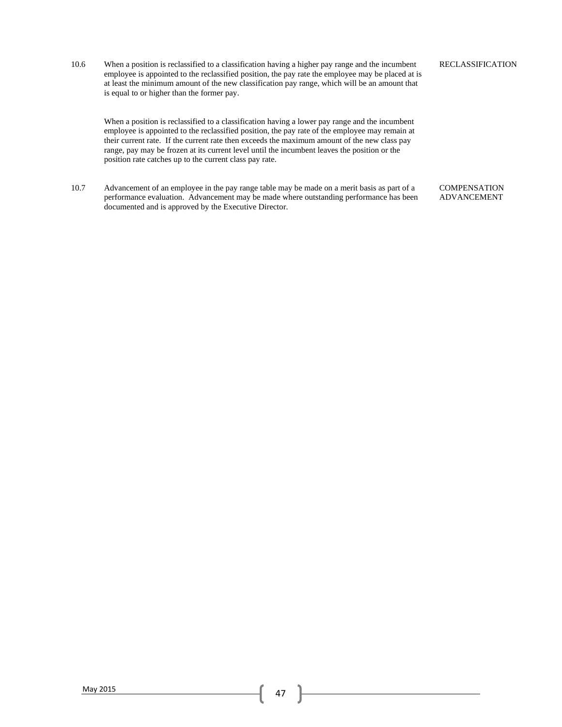10.6 When a position is reclassified to a classification having a higher pay range and the incumbent employee is appointed to the reclassified position, the pay rate the employee may be placed at is at least the minimum amount of the new classification pay range, which will be an amount that is equal to or higher than the former pay.

When a position is reclassified to a classification having a lower pay range and the incumbent employee is appointed to the reclassified position, the pay rate of the employee may remain at their current rate. If the current rate then exceeds the maximum amount of the new class pay range, pay may be frozen at its current level until the incumbent leaves the position or the position rate catches up to the current class pay rate.

10.7 Advancement of an employee in the pay range table may be made on a merit basis as part of a performance evaluation. Advancement may be made where outstanding performance has been documented and is approved by the Executive Director.

**COMPENSATION** ADVANCEMENT

### RECLASSIFICATION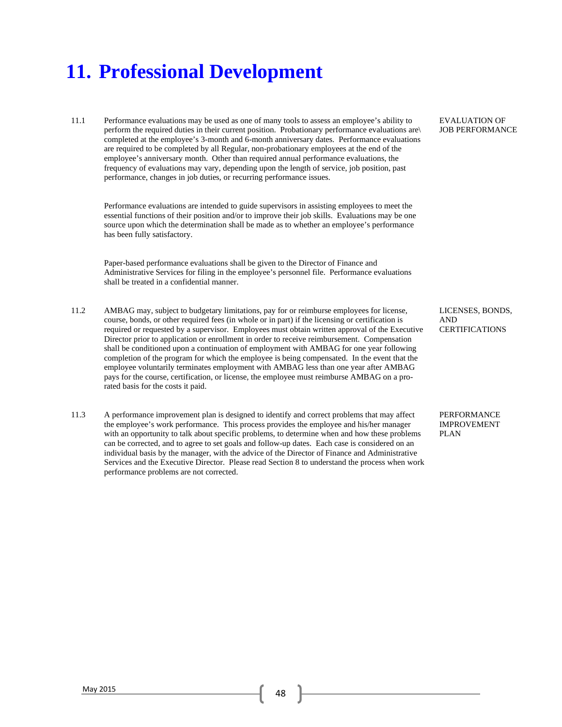### **11. Professional Development**

11.1 Performance evaluations may be used as one of many tools to assess an employee's ability to perform the required duties in their current position. Probationary performance evaluations are\ completed at the employee's 3-month and 6-month anniversary dates. Performance evaluations are required to be completed by all Regular, non-probationary employees at the end of the employee's anniversary month. Other than required annual performance evaluations, the frequency of evaluations may vary, depending upon the length of service, job position, past performance, changes in job duties, or recurring performance issues.

Performance evaluations are intended to guide supervisors in assisting employees to meet the essential functions of their position and/or to improve their job skills. Evaluations may be one source upon which the determination shall be made as to whether an employee's performance has been fully satisfactory.

Paper-based performance evaluations shall be given to the Director of Finance and Administrative Services for filing in the employee's personnel file. Performance evaluations shall be treated in a confidential manner.

- 11.2 AMBAG may, subject to budgetary limitations, pay for or reimburse employees for license, course, bonds, or other required fees (in whole or in part) if the licensing or certification is required or requested by a supervisor. Employees must obtain written approval of the Executive Director prior to application or enrollment in order to receive reimbursement. Compensation shall be conditioned upon a continuation of employment with AMBAG for one year following completion of the program for which the employee is being compensated. In the event that the employee voluntarily terminates employment with AMBAG less than one year after AMBAG pays for the course, certification, or license, the employee must reimburse AMBAG on a prorated basis for the costs it paid.
- 11.3 A performance improvement plan is designed to identify and correct problems that may affect the employee's work performance. This process provides the employee and his/her manager with an opportunity to talk about specific problems, to determine when and how these problems can be corrected, and to agree to set goals and follow-up dates. Each case is considered on an individual basis by the manager, with the advice of the Director of Finance and Administrative Services and the Executive Director. Please read Section 8 to understand the process when work performance problems are not corrected.

EVALUATION OF JOB PERFORMANCE

LICENSES, BONDS, AND **CERTIFICATIONS** 

PERFORMANCE IMPROVEMENT PLAN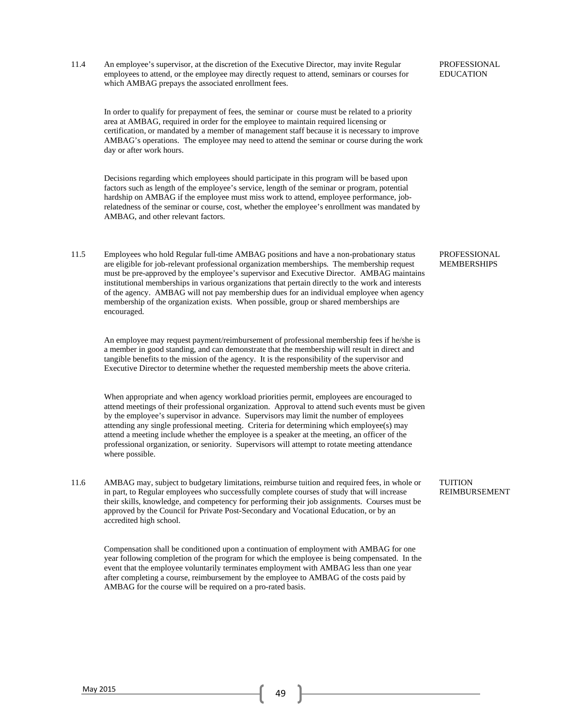11.4 An employee's supervisor, at the discretion of the Executive Director, may invite Regular employees to attend, or the employee may directly request to attend, seminars or courses for which AMBAG prepays the associated enrollment fees.

In order to qualify for prepayment of fees, the seminar or course must be related to a priority area at AMBAG, required in order for the employee to maintain required licensing or certification, or mandated by a member of management staff because it is necessary to improve AMBAG's operations. The employee may need to attend the seminar or course during the work day or after work hours.

Decisions regarding which employees should participate in this program will be based upon factors such as length of the employee's service, length of the seminar or program, potential hardship on AMBAG if the employee must miss work to attend, employee performance, jobrelatedness of the seminar or course, cost, whether the employee's enrollment was mandated by AMBAG, and other relevant factors.

11.5 Employees who hold Regular full-time AMBAG positions and have a non-probationary status are eligible for job-relevant professional organization memberships. The membership request must be pre-approved by the employee's supervisor and Executive Director. AMBAG maintains institutional memberships in various organizations that pertain directly to the work and interests of the agency. AMBAG will not pay membership dues for an individual employee when agency membership of the organization exists. When possible, group or shared memberships are encouraged.

An employee may request payment/reimbursement of professional membership fees if he/she is a member in good standing, and can demonstrate that the membership will result in direct and tangible benefits to the mission of the agency. It is the responsibility of the supervisor and Executive Director to determine whether the requested membership meets the above criteria.

When appropriate and when agency workload priorities permit, employees are encouraged to attend meetings of their professional organization. Approval to attend such events must be given by the employee's supervisor in advance. Supervisors may limit the number of employees attending any single professional meeting. Criteria for determining which employee(s) may attend a meeting include whether the employee is a speaker at the meeting, an officer of the professional organization, or seniority. Supervisors will attempt to rotate meeting attendance where possible.

11.6 AMBAG may, subject to budgetary limitations, reimburse tuition and required fees, in whole or in part, to Regular employees who successfully complete courses of study that will increase their skills, knowledge, and competency for performing their job assignments. Courses must be approved by the Council for Private Post-Secondary and Vocational Education, or by an accredited high school.

Compensation shall be conditioned upon a continuation of employment with AMBAG for one year following completion of the program for which the employee is being compensated. In the event that the employee voluntarily terminates employment with AMBAG less than one year after completing a course, reimbursement by the employee to AMBAG of the costs paid by AMBAG for the course will be required on a pro-rated basis.

PROFESSIONAL EDUCATION

PROFESSIONAL MEMBERSHIPS

**TUITION** REIMBURSEMENT